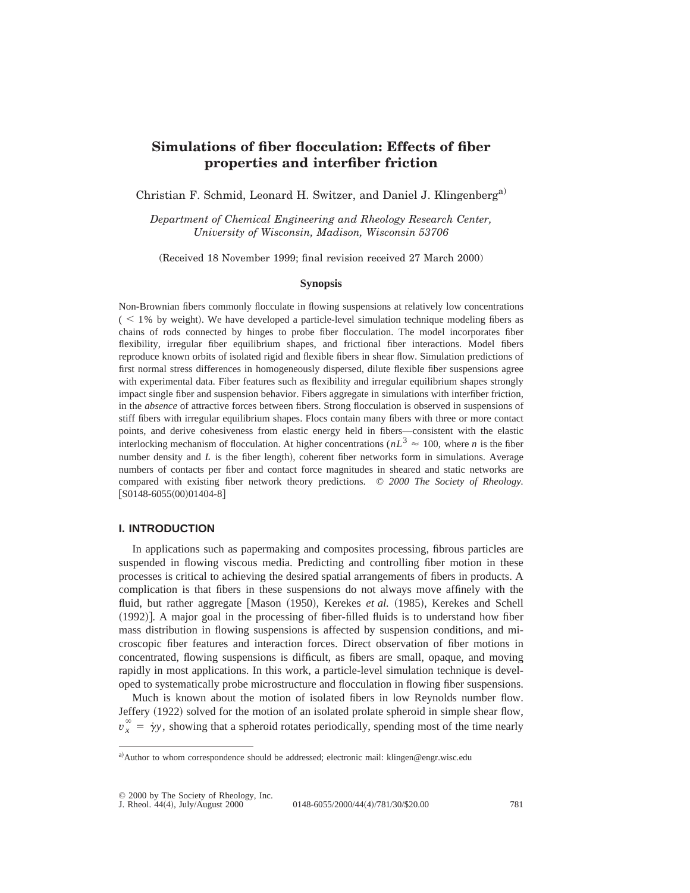# **Simulations of fiber flocculation: Effects of fiber properties and interfiber friction**

Christian F. Schmid, Leonard H. Switzer, and Daniel J. Klingenberg<sup>a)</sup>

*Department of Chemical Engineering and Rheology Research Center, University of Wisconsin, Madison, Wisconsin 53706*

(Received 18 November 1999; final revision received 27 March 2000)

#### **Synopsis**

Non-Brownian fibers commonly flocculate in flowing suspensions at relatively low concentrations  $($  < 1% by weight). We have developed a particle-level simulation technique modeling fibers as chains of rods connected by hinges to probe fiber flocculation. The model incorporates fiber flexibility, irregular fiber equilibrium shapes, and frictional fiber interactions. Model fibers reproduce known orbits of isolated rigid and flexible fibers in shear flow. Simulation predictions of first normal stress differences in homogeneously dispersed, dilute flexible fiber suspensions agree with experimental data. Fiber features such as flexibility and irregular equilibrium shapes strongly impact single fiber and suspension behavior. Fibers aggregate in simulations with interfiber friction, in the *absence* of attractive forces between fibers. Strong flocculation is observed in suspensions of stiff fibers with irregular equilibrium shapes. Flocs contain many fibers with three or more contact points, and derive cohesiveness from elastic energy held in fibers—consistent with the elastic interlocking mechanism of flocculation. At higher concentrations ( $nL^3 \approx 100$ , where *n* is the fiber number density and  $L$  is the fiber length), coherent fiber networks form in simulations. Average numbers of contacts per fiber and contact force magnitudes in sheared and static networks are compared with existing fiber network theory predictions. © *2000 The Society of Rheology.*  $[S0148-6055(00)01404-8]$ 

# **I. INTRODUCTION**

In applications such as papermaking and composites processing, fibrous particles are suspended in flowing viscous media. Predicting and controlling fiber motion in these processes is critical to achieving the desired spatial arrangements of fibers in products. A complication is that fibers in these suspensions do not always move affinely with the fluid, but rather aggregate [Mason (1950), Kerekes *et al.* (1985), Kerekes and Schell  $(1992)$ ]. A major goal in the processing of fiber-filled fluids is to understand how fiber mass distribution in flowing suspensions is affected by suspension conditions, and microscopic fiber features and interaction forces. Direct observation of fiber motions in concentrated, flowing suspensions is difficult, as fibers are small, opaque, and moving rapidly in most applications. In this work, a particle-level simulation technique is developed to systematically probe microstructure and flocculation in flowing fiber suspensions.

Much is known about the motion of isolated fibers in low Reynolds number flow. Jeffery (1922) solved for the motion of an isolated prolate spheroid in simple shear flow,  $v_x^{\infty} = \gamma y$ , showing that a spheroid rotates periodically, spending most of the time nearly

a)Author to whom correspondence should be addressed; electronic mail: klingen@engr.wisc.edu

<sup>© 2000</sup> by The Society of Rheology, Inc.

J. Rheol.  $44(4)$ , July/August 2000<sup> $\degree$ </sup> 0148-6055/2000/44(4)/781/30/\$20.00 781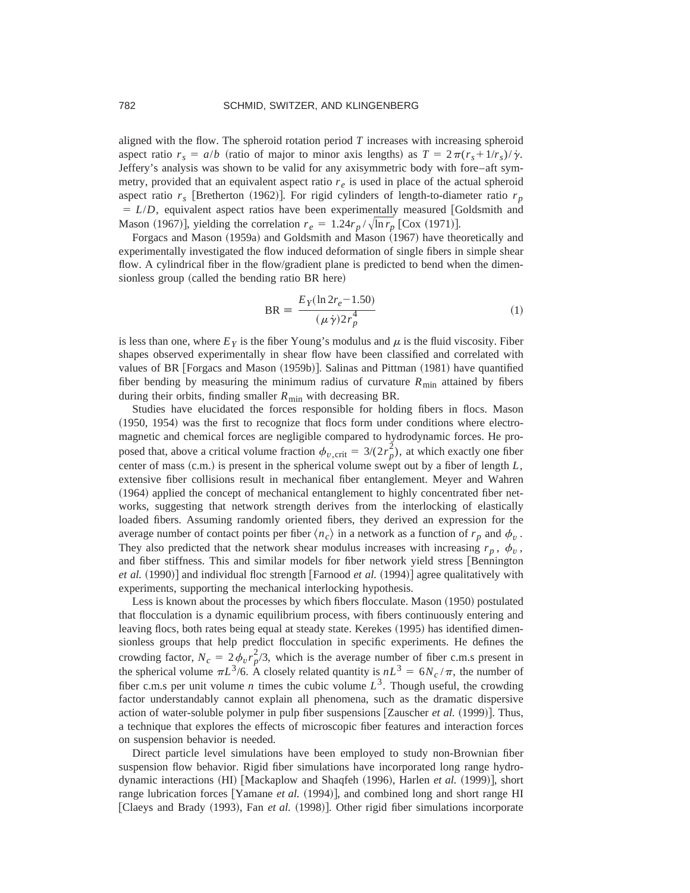aligned with the flow. The spheroid rotation period  $T$  increases with increasing spheroid aspect ratio  $r_s = a/b$  (ratio of major to minor axis lengths) as  $T = 2\pi (r_s + 1/r_s)/\gamma$ . Jeffery's analysis was shown to be valid for any axisymmetric body with fore–aft symmetry, provided that an equivalent aspect ratio  $r_e$  is used in place of the actual spheroid aspect ratio  $r_s$  [Bretherton (1962)]. For rigid cylinders of length-to-diameter ratio  $r_p$  $= L/D$ , equivalent aspect ratios have been experimentally measured [Goldsmith and Mason (1967)], yielding the correlation  $r_e = 1.24r_p / \sqrt{\ln r_p}$  [Cox (1971)].

Forgacs and Mason (1959a) and Goldsmith and Mason (1967) have theoretically and experimentally investigated the flow induced deformation of single fibers in simple shear flow. A cylindrical fiber in the flow/gradient plane is predicted to bend when the dimensionless group (called the bending ratio BR here)

$$
BR = \frac{E_Y(\ln 2r_e - 1.50)}{(\mu \dot{\gamma}) 2r_p^4}
$$
 (1)

is less than one, where  $E<sub>Y</sub>$  is the fiber Young's modulus and  $\mu$  is the fluid viscosity. Fiber shapes observed experimentally in shear flow have been classified and correlated with values of BR  $[Forgacs and Mason (1959b)].$  Salinas and Pittman  $(1981)$  have quantified fiber bending by measuring the minimum radius of curvature  $R_{\text{min}}$  attained by fibers during their orbits, finding smaller  $R_{\text{min}}$  with decreasing BR.

Studies have elucidated the forces responsible for holding fibers in flocs. Mason  $(1950, 1954)$  was the first to recognize that flocs form under conditions where electromagnetic and chemical forces are negligible compared to hydrodynamic forces. He proposed that, above a critical volume fraction  $\phi_{v,\text{crit}} = 3/(2r_p^2)$ , at which exactly one fiber center of mass  $(c.m.)$  is present in the spherical volume swept out by a fiber of length  $L$ , extensive fiber collisions result in mechanical fiber entanglement. Meyer and Wahren  $(1964)$  applied the concept of mechanical entanglement to highly concentrated fiber networks, suggesting that network strength derives from the interlocking of elastically loaded fibers. Assuming randomly oriented fibers, they derived an expression for the average number of contact points per fiber  $\langle n_c \rangle$  in a network as a function of  $r_p$  and  $\phi_v$ . They also predicted that the network shear modulus increases with increasing  $r_p$ ,  $\phi_v$ , and fiber stiffness. This and similar models for fiber network yield stress [Bennington] *et al.*  $(1990)$  and individual floc strength [Farnood *et al.*  $(1994)$ ] agree qualitatively with experiments, supporting the mechanical interlocking hypothesis.

Less is known about the processes by which fibers flocculate. Mason (1950) postulated that flocculation is a dynamic equilibrium process, with fibers continuously entering and leaving flocs, both rates being equal at steady state. Kerekes (1995) has identified dimensionless groups that help predict flocculation in specific experiments. He defines the crowding factor,  $N_c = 2 \phi_v r_p^2/3$ , which is the average number of fiber c.m.s present in the spherical volume  $\pi L^{3}/6$ . A closely related quantity is  $nL^{3} = 6N_c / \pi$ , the number of fiber c.m.s per unit volume *n* times the cubic volume  $L^3$ . Though useful, the crowding factor understandably cannot explain all phenomena, such as the dramatic dispersive action of water-soluble polymer in pulp fiber suspensions  $[Z$ auscher *et al.*  $(1999)$ . Thus, a technique that explores the effects of microscopic fiber features and interaction forces on suspension behavior is needed.

Direct particle level simulations have been employed to study non-Brownian fiber suspension flow behavior. Rigid fiber simulations have incorporated long range hydrodynamic interactions (HI) [Mackaplow and Shaqfeh (1996), Harlen *et al.* (1999)], short range lubrication forces [Yamane *et al.*  $(1994)$ ], and combined long and short range HI [Claeys and Brady (1993), Fan *et al.* (1998)]. Other rigid fiber simulations incorporate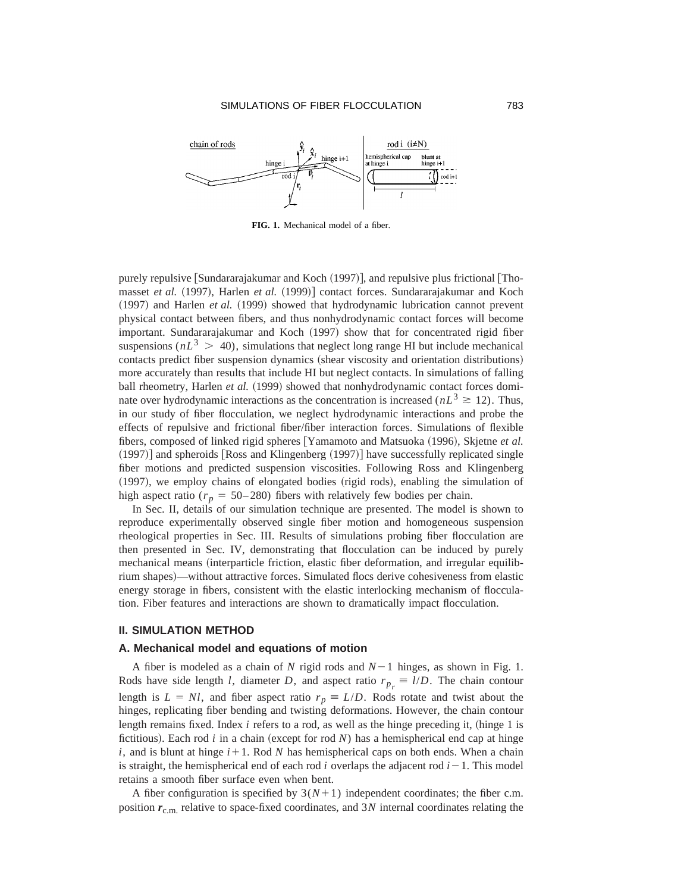

**FIG. 1.** Mechanical model of a fiber.

purely repulsive  $\lceil$ Sundararajakumar and Koch  $(1997)$ , and repulsive plus frictional  $\lceil$ Thomasset *et al.* (1997), Harlen *et al.* (1999)] contact forces. Sundararajakumar and Koch ~1997! and Harlen *et al.* ~1999! showed that hydrodynamic lubrication cannot prevent physical contact between fibers, and thus nonhydrodynamic contact forces will become important. Sundararajakumar and Koch (1997) show that for concentrated rigid fiber suspensions  $(nL^3 > 40)$ , simulations that neglect long range HI but include mechanical contacts predict fiber suspension dynamics (shear viscosity and orientation distributions) more accurately than results that include HI but neglect contacts. In simulations of falling ball rheometry, Harlen *et al.* (1999) showed that nonhydrodynamic contact forces dominate over hydrodynamic interactions as the concentration is increased ( $nL<sup>3</sup> \ge 12$ ). Thus, in our study of fiber flocculation, we neglect hydrodynamic interactions and probe the effects of repulsive and frictional fiber/fiber interaction forces. Simulations of flexible fibers, composed of linked rigid spheres [Yamamoto and Matsuoka (1996), Skjetne *et al.*  $(1997)$  and spheroids Ross and Klingenberg  $(1997)$  have successfully replicated single fiber motions and predicted suspension viscosities. Following Ross and Klingenberg  $(1997)$ , we employ chains of elongated bodies (rigid rods), enabling the simulation of high aspect ratio ( $r_p = 50-280$ ) fibers with relatively few bodies per chain.

In Sec. II, details of our simulation technique are presented. The model is shown to reproduce experimentally observed single fiber motion and homogeneous suspension rheological properties in Sec. III. Results of simulations probing fiber flocculation are then presented in Sec. IV, demonstrating that flocculation can be induced by purely mechanical means (interparticle friction, elastic fiber deformation, and irregular equilibrium shapes)—without attractive forces. Simulated flocs derive cohesiveness from elastic energy storage in fibers, consistent with the elastic interlocking mechanism of flocculation. Fiber features and interactions are shown to dramatically impact flocculation.

#### **II. SIMULATION METHOD**

#### **A. Mechanical model and equations of motion**

A fiber is modeled as a chain of  $N$  rigid rods and  $N-1$  hinges, as shown in Fig. 1. Rods have side length *l*, diameter *D*, and aspect ratio  $r_{p_r} \equiv l/D$ . The chain contour length is  $L = NI$ , and fiber aspect ratio  $r_p \equiv L/D$ . Rods rotate and twist about the hinges, replicating fiber bending and twisting deformations. However, the chain contour length remains fixed. Index *i* refers to a rod, as well as the hinge preceding it, (hinge 1 is fictitious). Each rod  $i$  in a chain (except for rod  $N$ ) has a hemispherical end cap at hinge  $i$ , and is blunt at hinge  $i+1$ . Rod N has hemispherical caps on both ends. When a chain is straight, the hemispherical end of each rod *i* overlaps the adjacent rod  $i-1$ . This model retains a smooth fiber surface even when bent.

A fiber configuration is specified by  $3(N+1)$  independent coordinates; the fiber c.m. position  $r_{\text{c.m.}}$  relative to space-fixed coordinates, and 3*N* internal coordinates relating the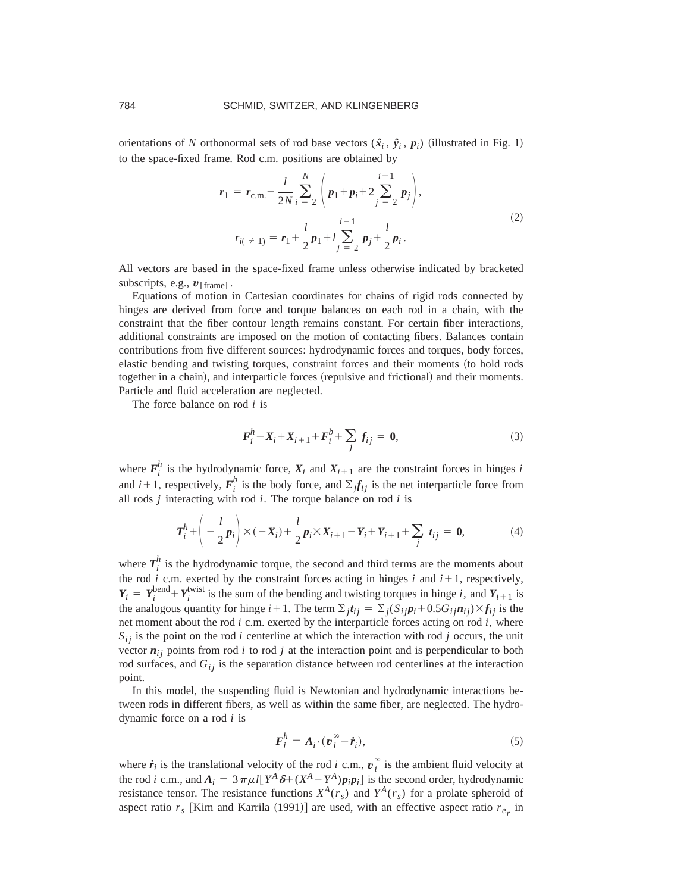orientations of *N* orthonormal sets of rod base vectors  $(\hat{x}_i, \hat{y}_i, p_i)$  (illustrated in Fig. 1) to the space-fixed frame. Rod c.m. positions are obtained by

$$
r_1 = r_{\text{c.m.}} - \frac{l}{2N} \sum_{i=2}^{N} \left( p_1 + p_i + 2 \sum_{j=2}^{i-1} p_j \right),
$$
  
\n
$$
r_{i(\neq 1)} = r_1 + \frac{l}{2} p_1 + l \sum_{j=2}^{i-1} p_j + \frac{l}{2} p_i.
$$
\n(2)

All vectors are based in the space-fixed frame unless otherwise indicated by bracketed subscripts, e.g.,  $v_{\text{[frame]}}$ .

Equations of motion in Cartesian coordinates for chains of rigid rods connected by hinges are derived from force and torque balances on each rod in a chain, with the constraint that the fiber contour length remains constant. For certain fiber interactions, additional constraints are imposed on the motion of contacting fibers. Balances contain contributions from five different sources: hydrodynamic forces and torques, body forces, elastic bending and twisting torques, constraint forces and their moments (to hold rods together in a chain), and interparticle forces (repulsive and frictional) and their moments. Particle and fluid acceleration are neglected.

The force balance on rod *i* is

$$
F_i^h - X_i + X_{i+1} + F_i^h + \sum_j f_{ij} = 0,
$$
\n(3)

where  $F_i^h$  is the hydrodynamic force,  $X_i$  and  $X_{i+1}$  are the constraint forces in hinges *i* and  $i+1$ , respectively,  $F_i^b$  is the body force, and  $\Sigma_j f_{ij}$  is the net interparticle force from all rods *j* interacting with rod *i*. The torque balance on rod *i* is

$$
T_i^h + \left( -\frac{l}{2} p_i \right) \times (-X_i) + \frac{l}{2} p_i \times X_{i+1} - Y_i + Y_{i+1} + \sum_j t_{ij} = 0,
$$
 (4)

where  $T_i^h$  is the hydrodynamic torque, the second and third terms are the moments about the rod *i* c.m. exerted by the constraint forces acting in hinges *i* and  $i+1$ , respectively,  $Y_i = Y_i^{\text{bend}} + Y_i^{\text{twist}}$  is the sum of the bending and twisting torques in hinge *i*, and  $Y_{i+1}$  is the analogous quantity for hinge  $i+1$ . The term  $\sum_j t_{ij} = \sum_j (S_{ij} p_i + 0.5 G_{ij} n_{ij}) \times f_{ij}$  is the net moment about the rod *i* c.m. exerted by the interparticle forces acting on rod *i*, where  $S_{ij}$  is the point on the rod *i* centerline at which the interaction with rod *j* occurs, the unit vector  $n_{ij}$  points from rod *i* to rod *j* at the interaction point and is perpendicular to both rod surfaces, and  $G_{ij}$  is the separation distance between rod centerlines at the interaction point.

In this model, the suspending fluid is Newtonian and hydrodynamic interactions between rods in different fibers, as well as within the same fiber, are neglected. The hydrodynamic force on a rod *i* is

$$
\boldsymbol{F}_i^h = \boldsymbol{A}_i \cdot (\boldsymbol{v}_i^\infty - \dot{\boldsymbol{r}}_i),\tag{5}
$$

where  $\dot{r}_i$  is the translational velocity of the rod *i* c.m.,  $v_i^{\infty}$  is the ambient fluid velocity at the rod *i* c.m., and  $A_i = 3 \pi \mu l [Y^A \delta + (X^A - Y^A) p_i p_i]$  is the second order, hydrodynamic resistance tensor. The resistance functions  $X^A(r_s)$  and  $Y^A(r_s)$  for a prolate spheroid of aspect ratio  $r_s$  [Kim and Karrila (1991)] are used, with an effective aspect ratio  $r_e$  in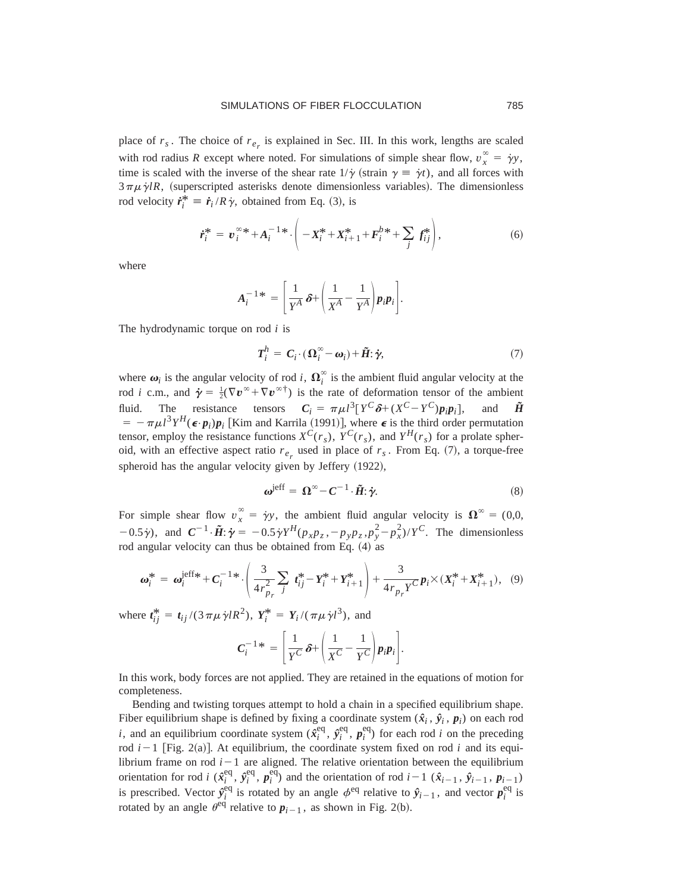place of  $r_s$ . The choice of  $r_{e_r}$  is explained in Sec. III. In this work, lengths are scaled with rod radius *R* except where noted. For simulations of simple shear flow,  $v_x^{\infty} = \dot{\gamma}y$ , time is scaled with the inverse of the shear rate  $1/\gamma$  (strain  $\gamma = \dot{\gamma} t$ ), and all forces with  $3 \pi \mu \dot{\gamma} lR$ , (superscripted asterisks denote dimensionless variables). The dimensionless rod velocity  $\dot{r}_i^* = \dot{r}_i / R \dot{\gamma}$ , obtained from Eq. (3), is

$$
\dot{\boldsymbol{r}}_i^* = \boldsymbol{v}_i^{\infty} + \boldsymbol{A}_i^{-1} * \cdot \bigg( -\boldsymbol{X}_i^* + \boldsymbol{X}_{i+1}^* + \boldsymbol{F}_i^{b*} + \sum_j \boldsymbol{f}_{ij}^* \bigg), \tag{6}
$$

where

$$
A_i^{-1*} = \left[\frac{1}{Y^A} \delta + \left(\frac{1}{X^A} - \frac{1}{Y^A}\right) p_i p_i\right].
$$

The hydrodynamic torque on rod *i* is

$$
T_i^h = C_i \cdot (\Omega_i^{\infty} - \omega_i) + \tilde{H} \cdot \dot{\gamma}, \tag{7}
$$

where  $\boldsymbol{\omega}_i$  is the angular velocity of rod *i*,  $\boldsymbol{\Omega}_i^{\infty}$  is the ambient fluid angular velocity at the rod *i* c.m., and  $\dot{\gamma} = \frac{1}{2}(\nabla v^{\infty} + \nabla v^{\infty})$  is the rate of deformation tensor of the ambient fluid. The resistance tensors  $C_i = \pi \mu l^3 [Y^C \delta + (X^C - Y^C) p_i p_i],$  and  $\tilde{H}$  $= -\pi \mu l^3 Y^H(\epsilon \cdot p_i) p_i$  [Kim and Karrila (1991)], where  $\epsilon$  is the third order permutation tensor, employ the resistance functions  $X^C(r_s)$ ,  $Y^C(r_s)$ , and  $Y^H(r_s)$  for a prolate spheroid, with an effective aspect ratio  $r_{e_r}$  used in place of  $r_s$ . From Eq. (7), a torque-free spheroid has the angular velocity given by Jeffery  $(1922)$ ,

$$
\boldsymbol{\omega}^{\text{jeff}} = \boldsymbol{\Omega}^{\infty} - \boldsymbol{C}^{-1} \cdot \tilde{\boldsymbol{H}} \mathbf{:} \boldsymbol{\dot{\gamma}}. \tag{8}
$$

For simple shear flow  $v_x^{\infty} = \dot{\gamma}y$ , the ambient fluid angular velocity is  $\Omega^{\infty} = (0,0,1)$  $(1-0.5\gamma)$ , and  $C^{-1} \cdot \tilde{H}$ :  $\dot{\gamma} = -0.5\dot{\gamma} Y^H(p_x p_z, -p_y p_z, p_y^2 - p_x^2)/Y^C$ . The dimensionless rod angular velocity can thus be obtained from Eq.  $(4)$  as

$$
\boldsymbol{\omega}_{i}^{*} = \boldsymbol{\omega}_{i}^{\text{left}} + \boldsymbol{C}_{i}^{-1*} \cdot \left( \frac{3}{4 r_{p_{r}}^{2}} \sum_{j} t_{ij}^{*} - \boldsymbol{Y}_{i}^{*} + \boldsymbol{Y}_{i+1}^{*} \right) + \frac{3}{4 r_{p_{r}} \boldsymbol{Y}^{C}} \boldsymbol{p}_{i} \times (\boldsymbol{X}_{i}^{*} + \boldsymbol{X}_{i+1}^{*}), \quad (9)
$$

where  $t_{ij}^* = t_{ij}/(3 \pi \mu \dot{\gamma} l R^2)$ ,  $Y_i^* = Y_i/(\pi \mu \dot{\gamma} l^3)$ , and

$$
C_i^{-1*} = \left[ \frac{1}{Y^C} \delta + \left( \frac{1}{X^C} - \frac{1}{Y^C} \right) p_i p_i \right].
$$

In this work, body forces are not applied. They are retained in the equations of motion for completeness.

Bending and twisting torques attempt to hold a chain in a specified equilibrium shape. Fiber equilibrium shape is defined by fixing a coordinate system  $(\hat{x}_i, \hat{y}_i, p_i)$  on each rod *i*, and an equilibrium coordinate system  $(\hat{x}^{\text{eq}}_i, \hat{y}^{\text{eq}}_i, p^{\text{eq}}_i)$  for each rod *i* on the preceding rod  $i-1$  [Fig. 2(a)]. At equilibrium, the coordinate system fixed on rod  $i$  and its equilibrium frame on rod  $i-1$  are aligned. The relative orientation between the equilibrium orientation for rod *i* ( $\hat{x}_i^{\text{eq}}, \hat{y}_i^{\text{eq}}, p_i^{\text{eq}}$ ) and the orientation of rod *i*-1 ( $\hat{x}_{i-1}, \hat{y}_{i-1}, p_{i-1}$ ) is prescribed. Vector  $\hat{y}_i^{\text{eq}}$  is rotated by an angle  $\phi^{\text{eq}}$  relative to  $\hat{y}_{i-1}$ , and vector  $p_i^{\text{eq}}$  is rotated by an angle  $\theta^{\text{eq}}$  relative to  $p_{i-1}$ , as shown in Fig. 2(b).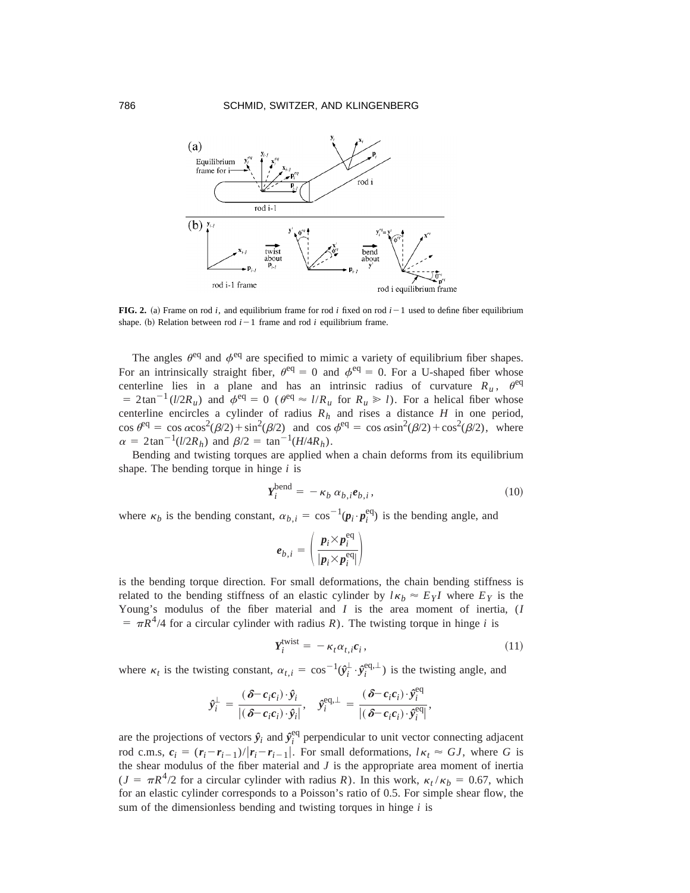

**FIG. 2.** (a) Frame on rod *i*, and equilibrium frame for rod *i* fixed on rod  $i-1$  used to define fiber equilibrium shape. (b) Relation between rod  $i-1$  frame and rod  $i$  equilibrium frame.

The angles  $\theta^{\text{eq}}$  and  $\phi^{\text{eq}}$  are specified to mimic a variety of equilibrium fiber shapes. For an intrinsically straight fiber,  $\theta^{eq} = 0$  and  $\phi^{eq} = 0$ . For a U-shaped fiber whose centerline lies in a plane and has an intrinsic radius of curvature  $R_u$ ,  $\theta^{eq}$  $= 2\tan^{-1}(l/2R_u)$  and  $\phi^{eq} = 0$  ( $\theta^{eq} \approx l/R_u$  for  $R_u \gg l$ ). For a helical fiber whose centerline encircles a cylinder of radius  $R_h$  and rises a distance *H* in one period,  $\cos \theta^{\text{eq}} = \cos \alpha \cos^2(\beta/2) + \sin^2(\beta/2)$  and  $\cos \phi^{\text{eq}} = \cos \alpha \sin^2(\beta/2) + \cos^2(\beta/2)$ , where  $\alpha = 2 \tan^{-1}(l/2R_h)$  and  $\beta/2 = \tan^{-1}(H/4R_h)$ .

Bending and twisting torques are applied when a chain deforms from its equilibrium shape. The bending torque in hinge *i* is

$$
Y_i^{\text{bend}} = -\kappa_b \, \alpha_{b,i} e_{b,i},\tag{10}
$$

where  $\kappa_b$  is the bending constant,  $\alpha_{b,i} = \cos^{-1}(\mathbf{p}_i \cdot \mathbf{p}_i^{\text{eq}})$  is the bending angle, and

$$
\boldsymbol{e}_{b,i} = \left(\frac{\boldsymbol{p}_i \times \boldsymbol{p}_i^{\text{eq}}}{|\boldsymbol{p}_i \times \boldsymbol{p}_i^{\text{eq}}|}\right)
$$

is the bending torque direction. For small deformations, the chain bending stiffness is related to the bending stiffness of an elastic cylinder by  $l\kappa_b \approx E_Y I$  where  $E_Y$  is the Young's modulus of the fiber material and *I* is the area moment of inertia, (*I*  $= \pi R^4/4$  for a circular cylinder with radius *R*). The twisting torque in hinge *i* is

$$
Y_i^{\text{twist}} = -\kappa_t \alpha_{t,i} c_i, \qquad (11)
$$

where  $\kappa_t$  is the twisting constant,  $\alpha_{t,i} = \cos^{-1}(\hat{y}_i^{\perp} \cdot \hat{y}_i^{\text{eq},\perp})$  is the twisting angle, and

$$
\hat{y}_i^{\perp} = \frac{(\delta - c_i c_i) \cdot \hat{y}_i}{|(\delta - c_i c_i) \cdot \hat{y}_i|}, \quad \hat{y}_i^{\text{eq},\perp} = \frac{(\delta - c_i c_i) \cdot \hat{y}_i^{\text{eq}}}{|(\delta - c_i c_i) \cdot \hat{y}_i^{\text{eq}}|},
$$

are the projections of vectors  $\hat{y}_i$  and  $\hat{y}_i^{\text{eq}}$  perpendicular to unit vector connecting adjacent rod c.m.s,  $c_i = (r_i - r_{i-1})/|r_i - r_{i-1}|$ . For small deformations,  $l \kappa_t \approx GJ$ , where *G* is the shear modulus of the fiber material and *J* is the appropriate area moment of inertia  $(J = \pi R^4/2$  for a circular cylinder with radius *R*). In this work,  $\kappa_t / \kappa_b = 0.67$ , which for an elastic cylinder corresponds to a Poisson's ratio of 0.5. For simple shear flow, the sum of the dimensionless bending and twisting torques in hinge *i* is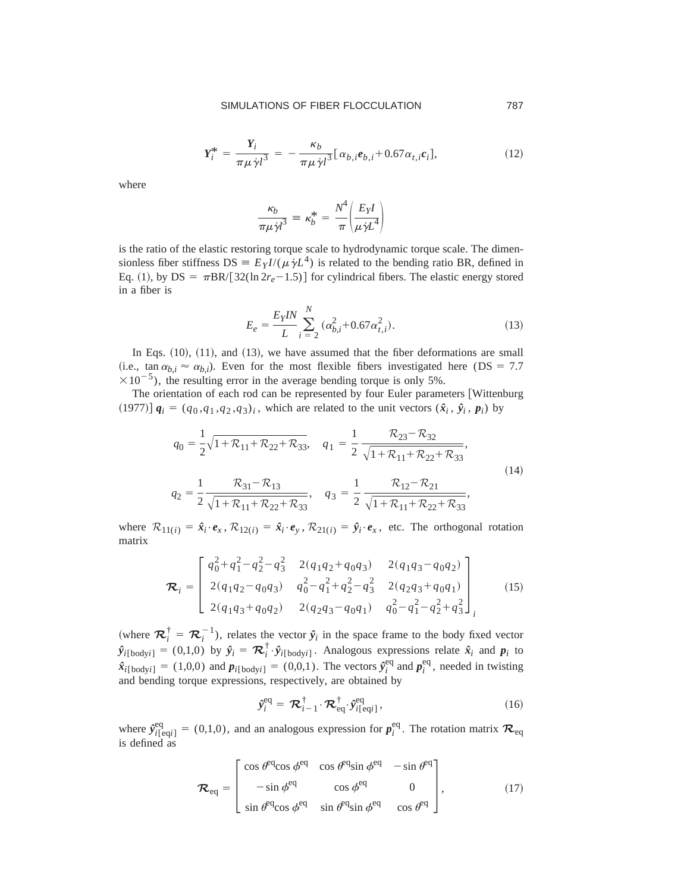$$
Y_i^* = \frac{Y_i}{\pi \mu \dot{\gamma} l^3} = -\frac{\kappa_b}{\pi \mu \dot{\gamma} l^3} [\alpha_{b,i} e_{b,i} + 0.67 \alpha_{t,i} c_i],
$$
\n(12)

where

$$
\frac{\kappa_b}{\pi \mu \dot{\gamma} l^3} \equiv \kappa_b^* = \frac{N^4}{\pi} \bigg( \frac{E_Y l}{\mu \dot{\gamma} L^4} \bigg)
$$

is the ratio of the elastic restoring torque scale to hydrodynamic torque scale. The dimensionless fiber stiffness  $DS = E_Y I/(\mu \dot{\gamma} L^4)$  is related to the bending ratio BR, defined in Eq. (1), by  $DS = \pi BR/[32(\ln 2r_e-1.5)]$  for cylindrical fibers. The elastic energy stored in a fiber is

$$
E_e = \frac{E_Y I N}{L} \sum_{i=2}^{N} (\alpha_{b,i}^2 + 0.67 \alpha_{t,i}^2). \tag{13}
$$

In Eqs.  $(10)$ ,  $(11)$ , and  $(13)$ , we have assumed that the fiber deformations are small (i.e., tan  $\alpha_{b,i} \approx \alpha_{b,i}$ ). Even for the most flexible fibers investigated here (DS = 7.7)  $\times 10^{-5}$ ), the resulting error in the average bending torque is only 5%.

The orientation of each rod can be represented by four Euler parameters [Wittenburg  $(1977)$ ]  $q_i = (q_0, q_1, q_2, q_3)_i$ , which are related to the unit vectors  $(\hat{x}_i, \hat{y}_i, p_i)$  by

$$
q_0 = \frac{1}{2}\sqrt{1 + \mathcal{R}_{11} + \mathcal{R}_{22} + \mathcal{R}_{33}}, \quad q_1 = \frac{1}{2} \frac{\mathcal{R}_{23} - \mathcal{R}_{32}}{\sqrt{1 + \mathcal{R}_{11} + \mathcal{R}_{22} + \mathcal{R}_{33}}},
$$
  

$$
q_2 = \frac{1}{2} \frac{\mathcal{R}_{31} - \mathcal{R}_{13}}{\sqrt{1 + \mathcal{R}_{11} + \mathcal{R}_{22} + \mathcal{R}_{33}}}, \quad q_3 = \frac{1}{2} \frac{\mathcal{R}_{12} - \mathcal{R}_{21}}{\sqrt{1 + \mathcal{R}_{11} + \mathcal{R}_{22} + \mathcal{R}_{33}}},
$$
(14)

where  $\mathcal{R}_{11(i)} = \hat{\mathbf{x}}_i \cdot \mathbf{e}_x$ ,  $\mathcal{R}_{12(i)} = \hat{\mathbf{x}}_i \cdot \mathbf{e}_y$ ,  $\mathcal{R}_{21(i)} = \hat{\mathbf{y}}_i \cdot \mathbf{e}_x$ , etc. The orthogonal rotation matrix

$$
\boldsymbol{\mathcal{R}}_{i} = \begin{bmatrix} q_{0}^{2} + q_{1}^{2} - q_{2}^{2} - q_{3}^{2} & 2(q_{1}q_{2} + q_{0}q_{3}) & 2(q_{1}q_{3} - q_{0}q_{2}) \\ 2(q_{1}q_{2} - q_{0}q_{3}) & q_{0}^{2} - q_{1}^{2} + q_{2}^{2} - q_{3}^{2} & 2(q_{2}q_{3} + q_{0}q_{1}) \\ 2(q_{1}q_{3} + q_{0}q_{2}) & 2(q_{2}q_{3} - q_{0}q_{1}) & q_{0}^{2} - q_{1}^{2} - q_{2}^{2} + q_{3}^{2} \end{bmatrix}_{i} \tag{15}
$$

(where  $\mathcal{R}_i^{\dagger} = \mathcal{R}_i^{-1}$ ), relates the vector  $\hat{y}_i$  in the space frame to the body fixed vector  $\hat{y}_{i[\text{body}]} = (0,1,0)$  by  $\hat{y}_i = \mathcal{R}_i^{\dagger} \cdot \hat{y}_{i[\text{body}]}$ . Analogous expressions relate  $\hat{x}_i$  and  $p_i$  to  $\hat{\mathbf{x}}_i[\text{body}_i] = (1,0,0)$  and  $\mathbf{p}_i[\text{body}_i] = (0,0,1)$ . The vectors  $\hat{\mathbf{y}}_i^{\text{eq}}$  and  $\mathbf{p}_i^{\text{eq}}$ , needed in twisting and bending torque expressions, respectively, are obtained by

$$
\hat{\mathbf{y}}_i^{\text{eq}} = \mathcal{R}_{i-1}^{\dagger} \cdot \mathcal{R}_{\text{eq}}^{\dagger} \cdot \hat{\mathbf{y}}_{i\text{[eq]}}^{\text{eq}},\tag{16}
$$

where  $\hat{y}_{i[eq]}^{eq} = (0,1,0)$ , and an analogous expression for  $p_i^{eq}$ . The rotation matrix  $\mathcal{R}_{eq}$ is defined as

$$
\boldsymbol{\mathcal{R}}_{\text{eq}} = \begin{bmatrix} \cos \theta^{\text{eq}} \cos \phi^{\text{eq}} & \cos \theta^{\text{eq}} \sin \phi^{\text{eq}} & -\sin \theta^{\text{eq}} \\ -\sin \phi^{\text{eq}} & \cos \phi^{\text{eq}} & 0 \\ \sin \theta^{\text{eq}} \cos \phi^{\text{eq}} & \sin \theta^{\text{eq}} \sin \phi^{\text{eq}} & \cos \theta^{\text{eq}} \end{bmatrix}, \qquad (17)
$$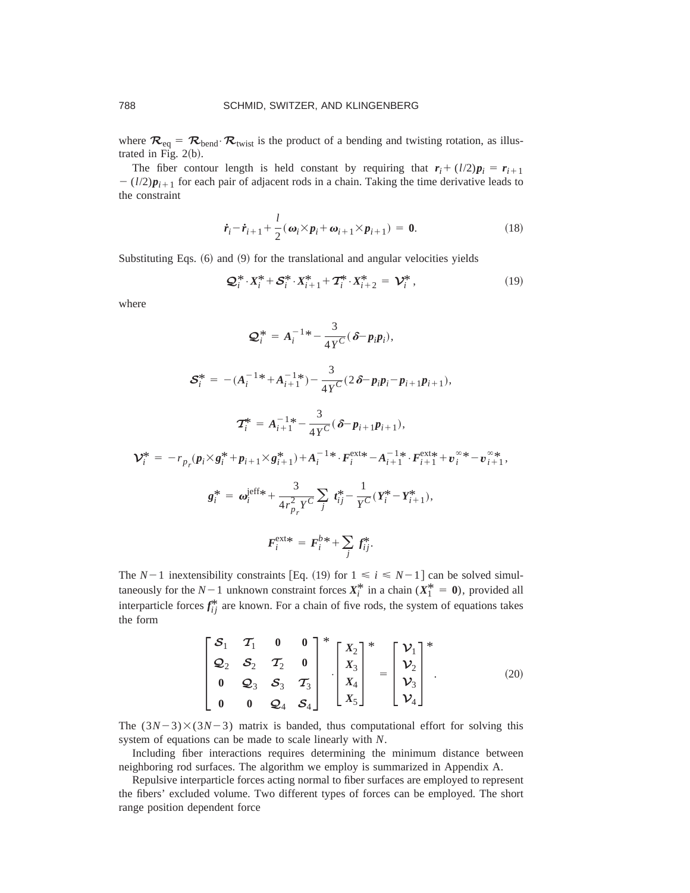where  $\mathcal{R}_{eq} = \mathcal{R}_{bend} \cdot \mathcal{R}_{twist}$  is the product of a bending and twisting rotation, as illustrated in Fig.  $2(b)$ .

The fiber contour length is held constant by requiring that  $r_i + (l/2)p_i = r_{i+1}$  $-(l/2)p_{i+1}$  for each pair of adjacent rods in a chain. Taking the time derivative leads to the constraint

$$
\dot{\boldsymbol{r}}_i - \dot{\boldsymbol{r}}_{i+1} + \frac{l}{2} (\boldsymbol{\omega}_i \times \boldsymbol{p}_i + \boldsymbol{\omega}_{i+1} \times \boldsymbol{p}_{i+1}) = \mathbf{0}.
$$
 (18)

Substituting Eqs.  $(6)$  and  $(9)$  for the translational and angular velocities yields

$$
\mathcal{Q}_i^* \cdot X_i^* + \mathcal{S}_i^* \cdot X_{i+1}^* + \mathcal{T}_i^* \cdot X_{i+2}^* = \mathcal{V}_i^*,
$$
\n(19)

where

$$
\mathcal{Q}_i^* = A_i^{-1} - \frac{3}{4Y^C} (\delta - p_i p_i),
$$

$$
\mathcal{S}_{i}^{*} = -(A_{i}^{-1*} + A_{i+1}^{-1*}) - \frac{3}{4Y^{C}} (2\,\delta - p_{i}p_{i} - p_{i+1}p_{i+1}),
$$

$$
\mathcal{T}_{i}^{*} = A_{i+1}^{-1*} - \frac{3}{4Y^{C}} (\delta - p_{i+1}p_{i+1}),
$$

$$
\mathbf{V}_{i}^{*} = -r_{p_{r}}(\mathbf{p}_{i} \times \mathbf{g}_{i}^{*} + \mathbf{p}_{i+1} \times \mathbf{g}_{i+1}^{*}) + A_{i}^{-1} * \cdot \mathbf{F}_{i}^{\text{ext}} - A_{i+1}^{-1} * \cdot \mathbf{F}_{i+1}^{\text{ext}} + \mathbf{v}_{i}^{\infty} * - \mathbf{v}_{i+1}^{\infty},
$$
\n
$$
\mathbf{g}_{i}^{*} = \boldsymbol{\omega}_{i}^{\text{left}} + \frac{3}{4r_{p_{r}}^{2} \cdot \mathbf{y}^{C}} \sum_{j} t_{ij}^{*} - \frac{1}{\gamma C} (\mathbf{Y}_{i}^{*} - \mathbf{Y}_{i+1}^{*}),
$$
\n
$$
\mathbf{F}_{i}^{\text{ext}} = \mathbf{F}_{i}^{b*} + \sum_{j} \mathbf{f}_{ij}^{*}.
$$

The  $N-1$  inextensibility constraints [Eq. (19) for  $1 \le i \le N-1$ ] can be solved simultaneously for the  $N-1$  unknown constraint forces  $X_i^*$  in a chain  $(X_1^* = 0)$ , provided all interparticle forces  $f_{ij}^*$  are known. For a chain of five rods, the system of equations takes the form

$$
\begin{bmatrix} \mathcal{S}_1 & \mathcal{T}_1 & 0 & 0 \\ \mathcal{Q}_2 & \mathcal{S}_2 & \mathcal{T}_2 & 0 \\ 0 & \mathcal{Q}_3 & \mathcal{S}_3 & \mathcal{T}_3 \\ 0 & 0 & \mathcal{Q}_4 & \mathcal{S}_4 \end{bmatrix}^* \cdot \begin{bmatrix} X_2 \\ X_3 \\ X_4 \\ X_5 \end{bmatrix}^* = \begin{bmatrix} \mathcal{V}_1 \\ \mathcal{V}_2 \\ \mathcal{V}_3 \\ \mathcal{V}_4 \end{bmatrix}^* \tag{20}
$$

The  $(3N-3)\times(3N-3)$  matrix is banded, thus computational effort for solving this system of equations can be made to scale linearly with *N*.

Including fiber interactions requires determining the minimum distance between neighboring rod surfaces. The algorithm we employ is summarized in Appendix A.

Repulsive interparticle forces acting normal to fiber surfaces are employed to represent the fibers' excluded volume. Two different types of forces can be employed. The short range position dependent force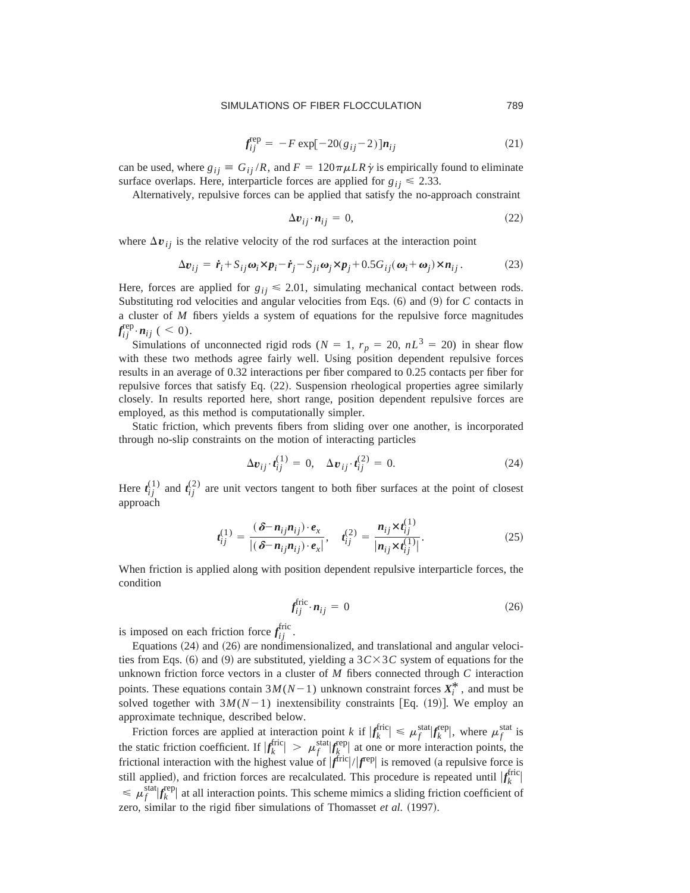#### SIMULATIONS OF FIBER FLOCCULATION 789

$$
f_{ij}^{\text{rep}} = -F \exp[-20(g_{ij} - 2)] n_{ij} \tag{21}
$$

can be used, where  $g_{ij} \equiv G_{ij}/R$ , and  $F = 120\pi \mu LR \dot{\gamma}$  is empirically found to eliminate surface overlaps. Here, interparticle forces are applied for  $g_{ij} \le 2.33$ .

Alternatively, repulsive forces can be applied that satisfy the no-approach constraint

$$
\Delta v_{ij} \cdot n_{ij} = 0, \tag{22}
$$

where  $\Delta v_{ij}$  is the relative velocity of the rod surfaces at the interaction point

$$
\Delta v_{ij} = \dot{r}_i + S_{ij}\omega_i \times p_i - \dot{r}_j - S_{ji}\omega_j \times p_j + 0.5G_{ij}(\omega_i + \omega_j) \times n_{ij}.
$$
 (23)

Here, forces are applied for  $g_{ij} \leq 2.01$ , simulating mechanical contact between rods. Substituting rod velocities and angular velocities from Eqs.  $(6)$  and  $(9)$  for *C* contacts in a cluster of *M* fibers yields a system of equations for the repulsive force magnitudes  $f_{ij}^{\text{rep}} \cdot n_{ij}$  (  $<$  0).

Simulations of unconnected rigid rods ( $N = 1$ ,  $r_p = 20$ ,  $nL^3 = 20$ ) in shear flow with these two methods agree fairly well. Using position dependent repulsive forces results in an average of 0.32 interactions per fiber compared to 0.25 contacts per fiber for repulsive forces that satisfy Eq.  $(22)$ . Suspension rheological properties agree similarly closely. In results reported here, short range, position dependent repulsive forces are employed, as this method is computationally simpler.

Static friction, which prevents fibers from sliding over one another, is incorporated through no-slip constraints on the motion of interacting particles

$$
\Delta v_{ij} \cdot t_{ij}^{(1)} = 0, \quad \Delta v_{ij} \cdot t_{ij}^{(2)} = 0. \tag{24}
$$

Here  $t_{ij}^{(1)}$  and  $t_{ij}^{(2)}$  are unit vectors tangent to both fiber surfaces at the point of closest approach

$$
t_{ij}^{(1)} = \frac{(\delta - n_{ij}n_{ij}) \cdot e_x}{|(\delta - n_{ij}n_{ij}) \cdot e_x|}, \quad t_{ij}^{(2)} = \frac{n_{ij} \times t_{ij}^{(1)}}{|n_{ij} \times t_{ij}^{(1)}|}. \tag{25}
$$

When friction is applied along with position dependent repulsive interparticle forces, the condition

$$
f_{ij}^{\text{fric}} \cdot \mathbf{n}_{ij} = 0 \tag{26}
$$

is imposed on each friction force  $f_{ij}^{\text{fric}}$ .

Equations  $(24)$  and  $(26)$  are nondimensionalized, and translational and angular velocities from Eqs. (6) and (9) are substituted, yielding a  $3C \times 3C$  system of equations for the unknown friction force vectors in a cluster of *M* fibers connected through *C* interaction points. These equations contain  $3M(N-1)$  unknown constraint forces  $X_i^*$ , and must be solved together with  $3M(N-1)$  inextensibility constraints [Eq. (19)]. We employ an approximate technique, described below.

Friction forces are applied at interaction point *k* if  $|f_k^{\text{fric}}| \le \mu_f^{\text{stat}} |f_k^{\text{rep}}|$ , where  $\mu_f^{\text{stat}}$  is the static friction coefficient. If  $|f_k^{\text{fric}}| > \mu_f^{\text{stat}}|f_k^{\text{rep}}|$  at one or more interaction points, the frictional interaction with the highest value of  $|f^{\text{fric}}|/|f^{\text{rep}}|$  is removed (a repulsive force is still applied), and friction forces are recalculated. This procedure is repeated until  $|f_k^{\text{fric}}|$  $\leq \mu_f^{\text{stat}} |f_k^{\text{rep}}|$  at all interaction points. This scheme mimics a sliding friction coefficient of zero, similar to the rigid fiber simulations of Thomasset *et al.* (1997).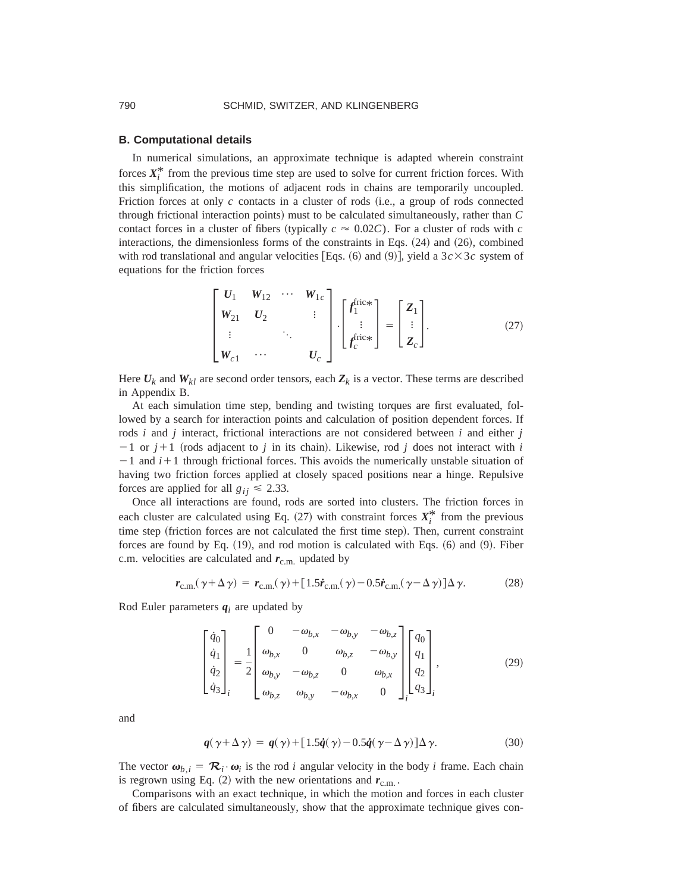#### **B. Computational details**

In numerical simulations, an approximate technique is adapted wherein constraint forces  $X_i^*$  from the previous time step are used to solve for current friction forces. With this simplification, the motions of adjacent rods in chains are temporarily uncoupled. Friction forces at only  $c$  contacts in a cluster of rods  $(i.e., a group of rods connected$ through frictional interaction points! must to be calculated simultaneously, rather than *C* contact forces in a cluster of fibers (typically  $c \approx 0.02C$ ). For a cluster of rods with *c* interactions, the dimensionless forms of the constraints in Eqs.  $(24)$  and  $(26)$ , combined with rod translational and angular velocities [Eqs.  $(6)$  and  $(9)$ ], yield a  $3c \times 3c$  system of equations for the friction forces

$$
\begin{bmatrix}\nU_1 & W_{12} & \cdots & W_{1c} \\
W_{21} & U_2 & & \vdots \\
\vdots & & \ddots & \vdots \\
W_{c1} & \cdots & & U_c\n\end{bmatrix}\n\cdot\n\begin{bmatrix}\nf_1^{\text{fric}} \\
\vdots \\
f_c^{\text{fric}}\n\end{bmatrix}\n=\n\begin{bmatrix}\nZ_1 \\
\vdots \\
Z_c\n\end{bmatrix}.
$$
\n(27)

Here  $U_k$  and  $W_{kl}$  are second order tensors, each  $Z_k$  is a vector. These terms are described in Appendix B.

At each simulation time step, bending and twisting torques are first evaluated, followed by a search for interaction points and calculation of position dependent forces. If rods *i* and *j* interact, frictional interactions are not considered between *i* and either *j*  $-1$  or  $j+1$  (rods adjacent to *j* in its chain). Likewise, rod *j* does not interact with *i*  $-1$  and  $i+1$  through frictional forces. This avoids the numerically unstable situation of having two friction forces applied at closely spaced positions near a hinge. Repulsive forces are applied for all  $g_{ij} \leq 2.33$ .

Once all interactions are found, rods are sorted into clusters. The friction forces in each cluster are calculated using Eq.  $(27)$  with constraint forces  $X_i^*$  from the previous time step (friction forces are not calculated the first time step). Then, current constraint forces are found by Eq.  $(19)$ , and rod motion is calculated with Eqs.  $(6)$  and  $(9)$ . Fiber c.m. velocities are calculated and  $r_{\rm c.m.}$  updated by

$$
\boldsymbol{r}_{\text{c.m.}}(\gamma + \Delta \gamma) = \boldsymbol{r}_{\text{c.m.}}(\gamma) + [1.5\dot{\boldsymbol{r}}_{\text{c.m.}}(\gamma) - 0.5\dot{\boldsymbol{r}}_{\text{c.m.}}(\gamma - \Delta \gamma)]\Delta \gamma. \tag{28}
$$

Rod Euler parameters  $q_i$  are updated by

$$
\begin{bmatrix}\n\dot{q}_0 \\
\dot{q}_1 \\
\dot{q}_2 \\
\dot{q}_3\n\end{bmatrix}_i = \frac{1}{2} \begin{bmatrix}\n0 & -\omega_{b,x} & -\omega_{b,y} & -\omega_{b,z} \\
\omega_{b,x} & 0 & \omega_{b,z} & -\omega_{b,y} \\
\omega_{b,y} & -\omega_{b,z} & 0 & \omega_{b,x} \\
\omega_{b,z} & \omega_{b,y} & -\omega_{b,x} & 0\n\end{bmatrix} \begin{bmatrix}\nq_0 \\
q_1 \\
q_2 \\
q_3\n\end{bmatrix}_i,
$$
\n(29)

and

$$
q(\gamma + \Delta \gamma) = q(\gamma) + [1.5\dot{q}(\gamma) - 0.5\dot{q}(\gamma - \Delta \gamma)]\Delta \gamma.
$$
 (30)

The vector  $\boldsymbol{\omega}_{b,i} = \boldsymbol{\mathcal{R}}_i \cdot \boldsymbol{\omega}_i$  is the rod *i* angular velocity in the body *i* frame. Each chain is regrown using Eq.  $(2)$  with the new orientations and  $r_{\text{c.m.}}$ .

Comparisons with an exact technique, in which the motion and forces in each cluster of fibers are calculated simultaneously, show that the approximate technique gives con-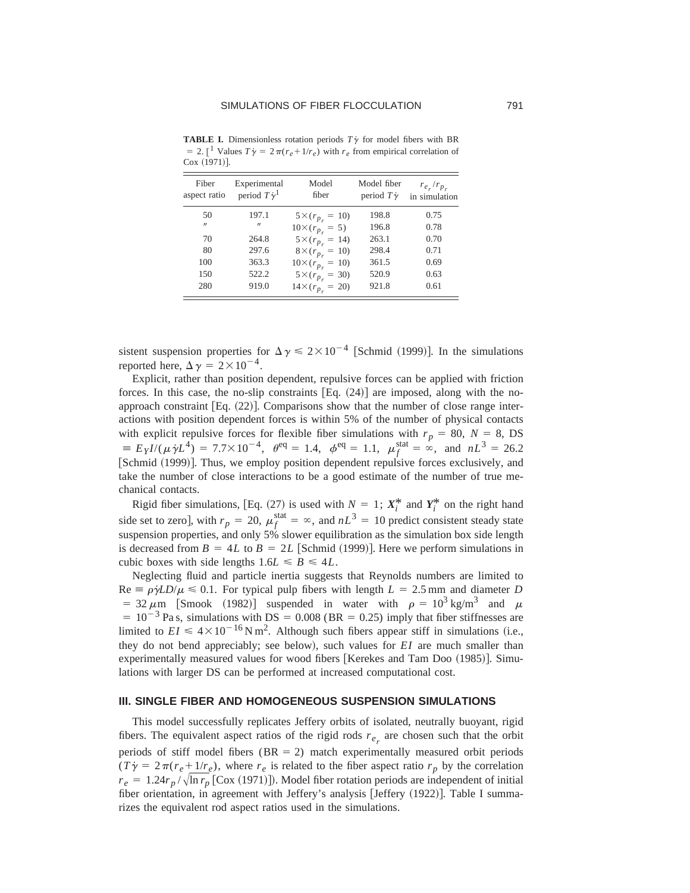| Fiber<br>aspect ratio | Experimental<br>period $T\dot{\gamma}^1$ | Model<br>fiber             | Model fiber<br>period $T\dot{\gamma}$ | $r_{e_r}/r_{p_r}$<br>in simulation |
|-----------------------|------------------------------------------|----------------------------|---------------------------------------|------------------------------------|
| 50                    | 197.1                                    | $5 \times (r_{p_r} = 10)$  | 198.8                                 | 0.75                               |
| $^{\prime\prime}$     | $^{\prime\prime}$                        | $10 \times (r_{p_r} = 5)$  | 196.8                                 | 0.78                               |
| 70                    | 264.8                                    | $5 \times (r_{p_r} = 14)$  | 263.1                                 | 0.70                               |
| 80                    | 297.6                                    | $8 \times (r_{p_r} = 10)$  | 298.4                                 | 0.71                               |
| 100                   | 363.3                                    | $10 \times (r_{p_r} = 10)$ | 361.5                                 | 0.69                               |
| 150                   | 522.2                                    | $5 \times (r_{p_r} = 30)$  | 520.9                                 | 0.63                               |
| 280                   | 919.0                                    | $14 \times (r_{p_r} = 20)$ | 921.8                                 | 0.61                               |

**TABLE I.** Dimensionless rotation periods  $T\gamma$  for model fibers with BR  $= 2$ . [<sup>1</sup> Values  $T\dot{\gamma} = 2\pi (r_e + 1/r_e)$  with  $r_e$  from empirical correlation of  $Cox (1971)$ ].

sistent suspension properties for  $\Delta \gamma \leq 2 \times 10^{-4}$  [Schmid (1999)]. In the simulations reported here,  $\Delta \gamma = 2 \times 10^{-4}$ .

Explicit, rather than position dependent, repulsive forces can be applied with friction forces. In this case, the no-slip constraints  $[Eq. (24)]$  are imposed, along with the noapproach constraint  $Eq. (22)$ . Comparisons show that the number of close range interactions with position dependent forces is within 5% of the number of physical contacts with explicit repulsive forces for flexible fiber simulations with  $r_p = 80$ ,  $N = 8$ , DS  $E = E_Y I/(\mu \gamma L^4) = 7.7 \times 10^{-4}, \theta^{\text{eq}} = 1.4, \phi^{\text{eq}} = 1.1, \mu_f^{\text{stat}} = \infty, \text{ and } nL^3 = 26.2$ [Schmid (1999)]. Thus, we employ position dependent repulsive forces exclusively, and take the number of close interactions to be a good estimate of the number of true mechanical contacts.

Rigid fiber simulations, [Eq. (27) is used with  $N = 1$ ;  $X_i^*$  and  $Y_i^*$  on the right hand side set to zero], with  $r_p = 20$ ,  $\mu_f^{\text{stat}} = \infty$ , and  $nL^3 = 10$  predict consistent steady state suspension properties, and only 5% slower equilibration as the simulation box side length is decreased from  $B = 4L$  to  $B = 2L$  [Schmid (1999)]. Here we perform simulations in cubic boxes with side lengths  $1.6L \le B \le 4L$ .

Neglecting fluid and particle inertia suggests that Reynolds numbers are limited to  $Re \equiv \rho \dot{\gamma} L D / \mu \leq 0.1$ . For typical pulp fibers with length  $L = 2.5$  mm and diameter *D* = 32  $\mu$ m [Smook (1982)] suspended in water with  $\rho = 10^3$  kg/m<sup>3</sup> and  $\mu$  $= 10^{-3}$  Pa s, simulations with DS = 0.008 (BR = 0.25) imply that fiber stiffnesses are limited to  $EI \leq 4 \times 10^{-16} \text{ N m}^2$ . Although such fibers appear stiff in simulations (i.e., they do not bend appreciably; see below), such values for  $EI$  are much smaller than experimentally measured values for wood fibers [Kerekes and Tam Doo  $(1985)$ ]. Simulations with larger DS can be performed at increased computational cost.

## **III. SINGLE FIBER AND HOMOGENEOUS SUSPENSION SIMULATIONS**

This model successfully replicates Jeffery orbits of isolated, neutrally buoyant, rigid fibers. The equivalent aspect ratios of the rigid rods  $r_{e_r}$  are chosen such that the orbit periods of stiff model fibers ( $BR = 2$ ) match experimentally measured orbit periods  $(T\dot{\gamma} = 2\pi(r_e+1/r_e)$ , where  $r_e$  is related to the fiber aspect ratio  $r_p$  by the correlation  $r_e = 1.24r_p / \sqrt{\ln r_p}$  [Cox (1971)]). Model fiber rotation periods are independent of initial fiber orientation, in agreement with Jeffery's analysis [Jeffery (1922)]. Table I summarizes the equivalent rod aspect ratios used in the simulations.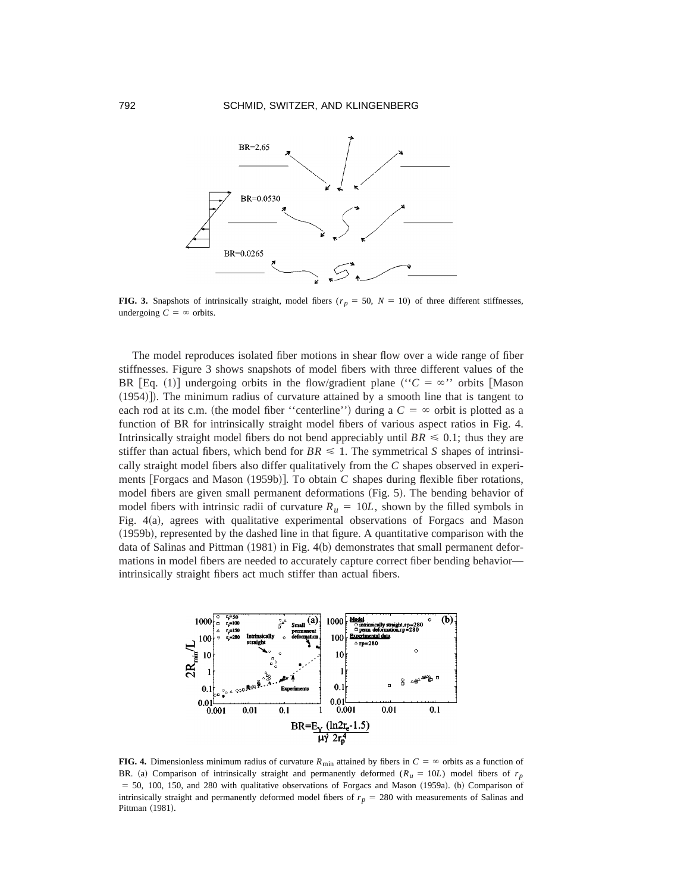

**FIG. 3.** Snapshots of intrinsically straight, model fibers  $(r_p = 50, N = 10)$  of three different stiffnesses, undergoing  $C = \infty$  orbits.

The model reproduces isolated fiber motions in shear flow over a wide range of fiber stiffnesses. Figure 3 shows snapshots of model fibers with three different values of the BR [Eq. (1)] undergoing orbits in the flow/gradient plane (" $C = \infty$ " orbits [Mason  $(1954)$ ]). The minimum radius of curvature attained by a smooth line that is tangent to each rod at its c.m. (the model fiber ''centerline'') during a  $C = \infty$  orbit is plotted as a function of BR for intrinsically straight model fibers of various aspect ratios in Fig. 4. Intrinsically straight model fibers do not bend appreciably until  $BR \leq 0.1$ ; thus they are stiffer than actual fibers, which bend for  $BR \leq 1$ . The symmetrical *S* shapes of intrinsically straight model fibers also differ qualitatively from the *C* shapes observed in experiments  $[Forgacs and Mason (1959b)].$  To obtain *C* shapes during flexible fiber rotations, model fibers are given small permanent deformations (Fig. 5). The bending behavior of model fibers with intrinsic radii of curvature  $R<sub>u</sub> = 10L$ , shown by the filled symbols in Fig. 4(a), agrees with qualitative experimental observations of Forgacs and Mason (1959b), represented by the dashed line in that figure. A quantitative comparison with the data of Salinas and Pittman  $(1981)$  in Fig. 4(b) demonstrates that small permanent deformations in model fibers are needed to accurately capture correct fiber bending behavior intrinsically straight fibers act much stiffer than actual fibers.



**FIG. 4.** Dimensionless minimum radius of curvature  $R_{\text{min}}$  attained by fibers in  $C = \infty$  orbits as a function of BR. (a) Comparison of intrinsically straight and permanently deformed  $(R_u = 10L)$  model fibers of  $r_p$  $= 50, 100, 150,$  and 280 with qualitative observations of Forgacs and Mason  $(1959a)$ . (b) Comparison of intrinsically straight and permanently deformed model fibers of  $r_p = 280$  with measurements of Salinas and Pittman (1981).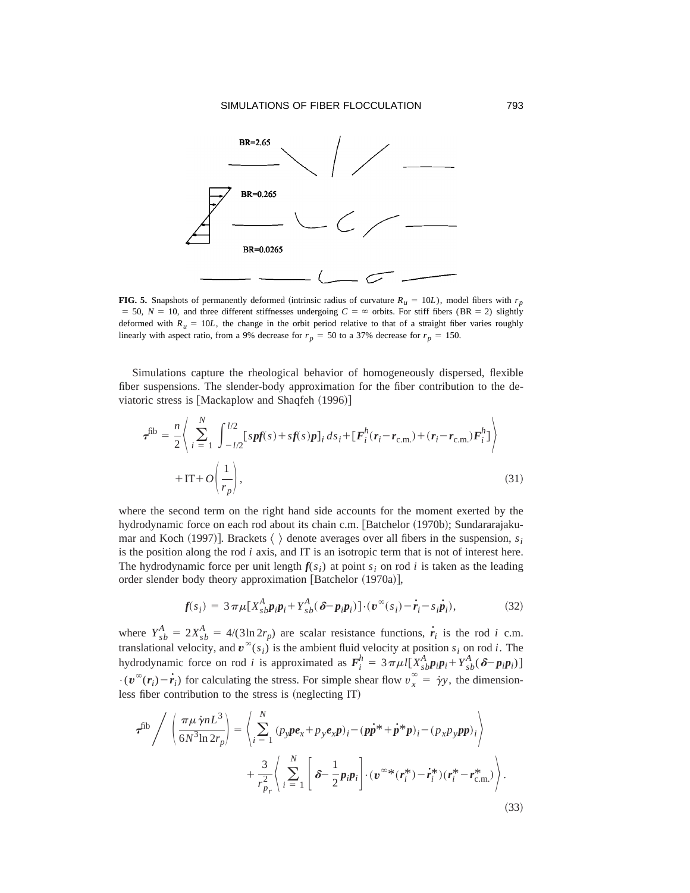

**FIG. 5.** Snapshots of permanently deformed (intrinsic radius of curvature  $R_u = 10L$ ), model fibers with  $r_p$  $= 50$ ,  $N = 10$ , and three different stiffnesses undergoing  $C = \infty$  orbits. For stiff fibers (BR = 2) slightly deformed with  $R<sub>u</sub> = 10L$ , the change in the orbit period relative to that of a straight fiber varies roughly linearly with aspect ratio, from a 9% decrease for  $r_p = 50$  to a 37% decrease for  $r_p = 150$ .

Simulations capture the rheological behavior of homogeneously dispersed, flexible fiber suspensions. The slender-body approximation for the fiber contribution to the deviatoric stress is  $[Mackaplow and Shaqfeh (1996)]$ 

$$
\tau^{\text{fib}} = \frac{n}{2} \left\langle \sum_{i=1}^{N} \int_{-l/2}^{l/2} [s p f(s) + s f(s) p]_i ds_i + [F_i^h(r_i - r_{\text{c.m.}}) + (r_i - r_{\text{c.m.}}) F_i^h] \right\rangle + I\text{T} + O\left(\frac{1}{r_p}\right),\tag{31}
$$

where the second term on the right hand side accounts for the moment exerted by the hydrodynamic force on each rod about its chain c.m. [Batchelor (1970b); Sundararajakumar and Koch (1997)]. Brackets  $\langle \rangle$  denote averages over all fibers in the suspension,  $s_i$ is the position along the rod *i* axis, and IT is an isotropic term that is not of interest here. The hydrodynamic force per unit length  $f(s_i)$  at point  $s_i$  on rod *i* is taken as the leading order slender body theory approximation [Batchelor (1970a)],

$$
f(s_i) = 3\pi\mu[X_{sb}^A p_i p_i + Y_{sb}^A(\delta - p_i p_i)] \cdot (\boldsymbol{v}^{\infty}(s_i) - \dot{r}_i - s_i \dot{p}_i), \qquad (32)
$$

where  $Y_{sb}^A = 2X_{sb}^A = 4/(3\ln 2r_p)$  are scalar resistance functions,  $\dot{r}_i$  is the rod *i* c.m. translational velocity, and  $\mathbf{v}^{\infty}(s_i)$  is the ambient fluid velocity at position  $s_i$  on rod *i*. The hydrodynamic force on rod *i* is approximated as  $F_i^h = 3 \pi \mu l [X_{sb}^A p_i p_i + Y_{sb}^A (\delta - p_i p_i)]$  $\cdot$  ( $v^{\infty}(r_i) - \dot{r}_i$ ) for calculating the stress. For simple shear flow  $v_x^{\infty} = \dot{\gamma}y$ , the dimensionless fiber contribution to the stress is (neglecting IT)

$$
\boldsymbol{\tau}^{\text{fib}} \Big/ \left( \frac{\pi \mu \gamma n L^3}{6N^3 \ln 2r_p} \right) = \left\langle \sum_{i=1}^N \left( p_y \boldsymbol{p} \boldsymbol{e}_x + p_y \boldsymbol{e}_x \boldsymbol{p} \right)_i - \left( p\boldsymbol{p}^* + \boldsymbol{p}^* \boldsymbol{p} \right)_i - \left( p_x p_y \boldsymbol{p} \boldsymbol{p} \right)_i \right\rangle + \frac{3}{r_{p_r}^2} \left\langle \sum_{i=1}^N \left[ \boldsymbol{\delta} - \frac{1}{2} p_i \boldsymbol{p}_i \right] \cdot (\boldsymbol{v}^{\infty*} (\boldsymbol{r}_i^*) - \boldsymbol{r}_i^*) (\boldsymbol{r}_i^* - \boldsymbol{r}_{\text{c.m.}}^*) \right\rangle.
$$
\n(33)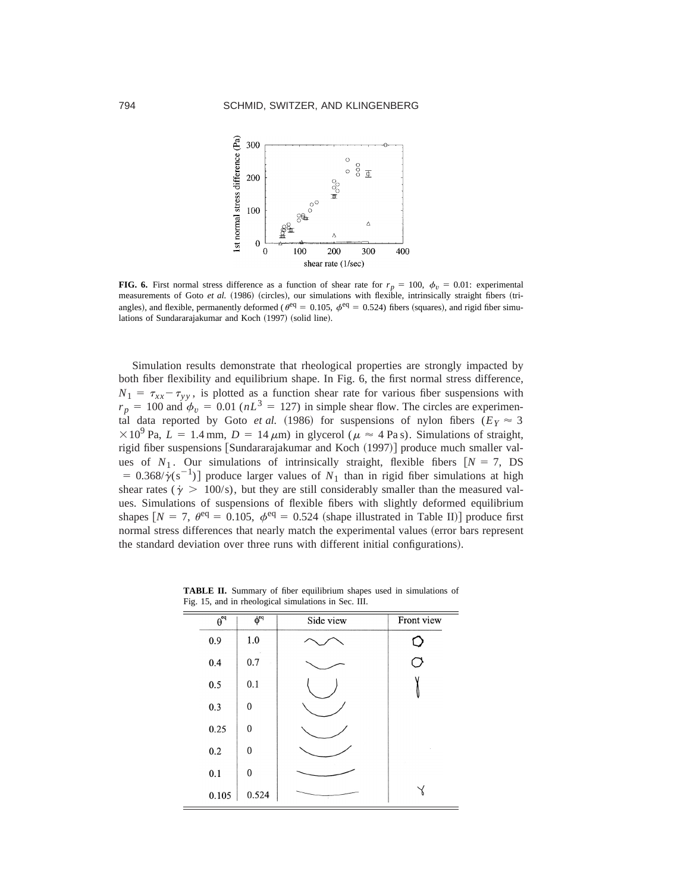

**FIG. 6.** First normal stress difference as a function of shear rate for  $r_p = 100$ ,  $\phi_v = 0.01$ : experimental measurements of Goto et al. (1986) (circles), our simulations with flexible, intrinsically straight fibers (triangles), and flexible, permanently deformed ( $\theta^{\text{eq}} = 0.105$ ,  $\phi^{\text{eq}} = 0.524$ ) fibers (squares), and rigid fiber simulations of Sundararajakumar and Koch (1997) (solid line).

Simulation results demonstrate that rheological properties are strongly impacted by both fiber flexibility and equilibrium shape. In Fig. 6, the first normal stress difference,  $N_1 = \tau_{xx} - \tau_{yy}$ , is plotted as a function shear rate for various fiber suspensions with  $r_p = 100$  and  $\phi_v = 0.01$  ( $nL^3 = 127$ ) in simple shear flow. The circles are experimental data reported by Goto *et al.* (1986) for suspensions of nylon fibers ( $E_Y \approx 3$  $\times 10^{9}$  Pa,  $L = 1.4$  mm,  $D = 14 \mu$ m) in glycerol ( $\mu \approx 4$  Pa s). Simulations of straight, rigid fiber suspensions [Sundararajakumar and Koch (1997)] produce much smaller values of  $N_1$ . Our simulations of intrinsically straight, flexible fibers  $[N = 7, DS]$  $= 0.368/\dot{\gamma}(s^{-1})$ ] produce larger values of  $N_1$  than in rigid fiber simulations at high shear rates ( $\gamma$  > 100/s), but they are still considerably smaller than the measured values. Simulations of suspensions of flexible fibers with slightly deformed equilibrium shapes  $[N = 7, \theta^{\text{eq}} = 0.105, \phi^{\text{eq}} = 0.524$  (shape illustrated in Table II)] produce first normal stress differences that nearly match the experimental values (error bars represent the standard deviation over three runs with different initial configurations).

| $\theta^{\text{eq}}$ | $\phi$ <sup>eq</sup> | Side view | Front view |
|----------------------|----------------------|-----------|------------|
| 0.9                  | 1.0                  |           |            |
| 0.4                  | 0.7                  |           | O          |
| 0.5                  | 0.1                  |           |            |
| 0.3                  | $\boldsymbol{0}$     |           |            |
| 0.25                 | 0                    |           |            |
| 0.2                  | 0                    |           |            |
| 0.1                  | 0                    |           |            |
| 0.105                | 0.524                |           |            |

**TABLE II.** Summary of fiber equilibrium shapes used in simulations of Fig. 15, and in rheological simulations in Sec. III.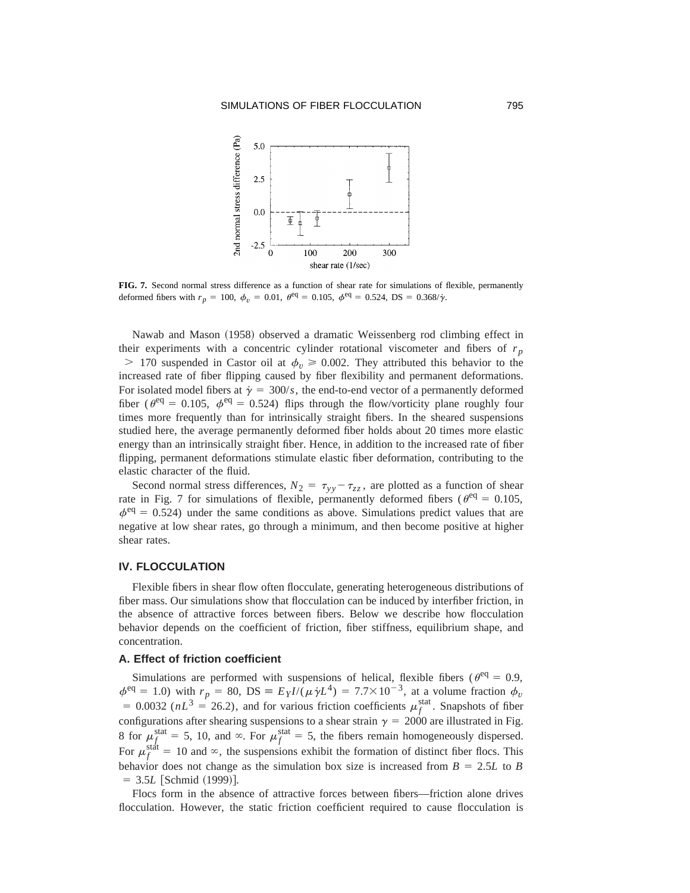

**FIG. 7.** Second normal stress difference as a function of shear rate for simulations of flexible, permanently deformed fibers with  $r_p = 100$ ,  $\phi_v = 0.01$ ,  $\theta^{\text{eq}} = 0.105$ ,  $\phi^{\text{eq}} = 0.524$ , DS = 0.368/ $\dot{\gamma}$ .

Nawab and Mason (1958) observed a dramatic Weissenberg rod climbing effect in their experiments with a concentric cylinder rotational viscometer and fibers of  $r_p$  $>$  170 suspended in Castor oil at  $\phi_v \ge 0.002$ . They attributed this behavior to the increased rate of fiber flipping caused by fiber flexibility and permanent deformations. For isolated model fibers at  $\dot{\gamma} = 300/s$ , the end-to-end vector of a permanently deformed fiber ( $\theta^{\text{eq}} = 0.105$ ,  $\phi^{\text{eq}} = 0.524$ ) flips through the flow/vorticity plane roughly four times more frequently than for intrinsically straight fibers. In the sheared suspensions studied here, the average permanently deformed fiber holds about 20 times more elastic energy than an intrinsically straight fiber. Hence, in addition to the increased rate of fiber flipping, permanent deformations stimulate elastic fiber deformation, contributing to the elastic character of the fluid.

Second normal stress differences,  $N_2 = \tau_{yy} - \tau_{zz}$ , are plotted as a function of shear rate in Fig. 7 for simulations of flexible, permanently deformed fibers ( $\theta^{\text{eq}} = 0.105$ ,  $\phi^{\text{eq}} = 0.524$ ) under the same conditions as above. Simulations predict values that are negative at low shear rates, go through a minimum, and then become positive at higher shear rates.

# **IV. FLOCCULATION**

Flexible fibers in shear flow often flocculate, generating heterogeneous distributions of fiber mass. Our simulations show that flocculation can be induced by interfiber friction, in the absence of attractive forces between fibers. Below we describe how flocculation behavior depends on the coefficient of friction, fiber stiffness, equilibrium shape, and concentration.

## **A. Effect of friction coefficient**

Simulations are performed with suspensions of helical, flexible fibers ( $\theta^{\text{eq}} = 0.9$ ,  $\phi^{\text{eq}} = 1.0$ ) with  $r_p = 80$ , DS =  $E_Y I/(\mu \dot{\gamma} L^4) = 7.7 \times 10^{-3}$ , at a volume fraction  $\phi_v$ = 0.0032 ( $nL^3 = 26.2$ ), and for various friction coefficients  $\mu_f^{\text{stat}}$ . Snapshots of fiber configurations after shearing suspensions to a shear strain  $\gamma = 2000$  are illustrated in Fig. 8 for  $\mu_f^{\text{stat}} = 5$ , 10, and  $\infty$ . For  $\mu_f^{\text{stat}} = 5$ , the fibers remain homogeneously dispersed. For  $\mu_f^{\text{staf}} = 10$  and  $\infty$ , the suspensions exhibit the formation of distinct fiber flocs. This behavior does not change as the simulation box size is increased from  $B = 2.5L$  to *B*  $= 3.5L$  [Schmid (1999)].

Flocs form in the absence of attractive forces between fibers—friction alone drives flocculation. However, the static friction coefficient required to cause flocculation is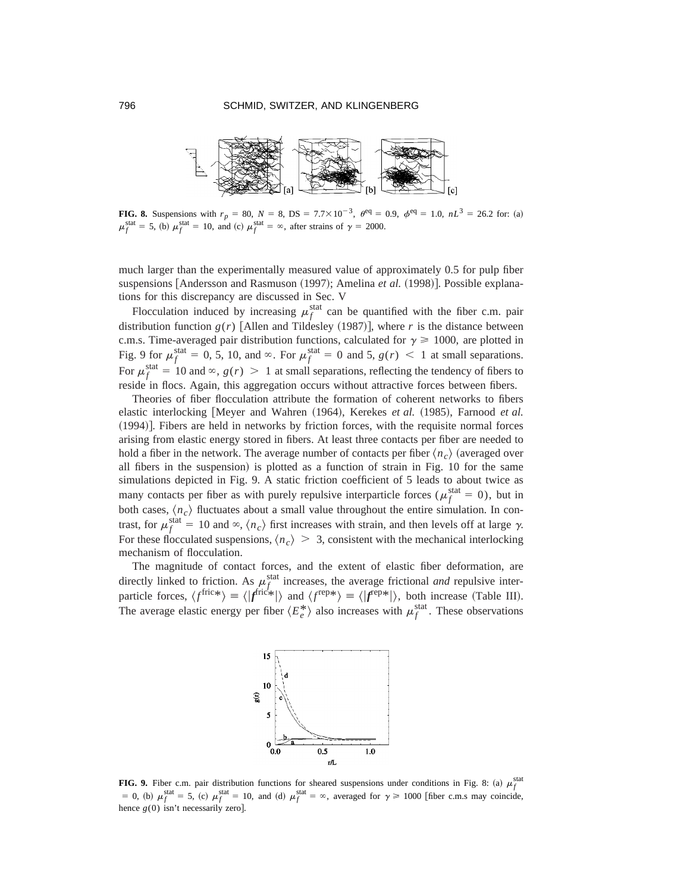

**FIG. 8.** Suspensions with  $r_p = 80$ ,  $N = 8$ ,  $DS = 7.7 \times 10^{-3}$ ,  $\theta^{\text{eq}} = 0.9$ ,  $\phi^{\text{eq}} = 1.0$ ,  $nL^3 = 26.2$  for: (a)  $\mu_f^{\text{stat}} = 5$ , (b)  $\mu_f^{\text{stat}} = 10$ , and (c)  $\mu_f^{\text{stat}} = \infty$ , after strains of  $\gamma = 2000$ .

much larger than the experimentally measured value of approximately 0.5 for pulp fiber suspensions  $[Andersson and Rasmuson (1997);$  Amelina *et al.*  $(1998)$ . Possible explanations for this discrepancy are discussed in Sec. V

Flocculation induced by increasing  $\mu_f^{\text{stat}}$  can be quantified with the fiber c.m. pair distribution function  $g(r)$  [Allen and Tildesley (1987)], where *r* is the distance between c.m.s. Time-averaged pair distribution functions, calculated for  $\gamma \ge 1000$ , are plotted in Fig. 9 for  $\mu_f^{\text{stat}} = 0, 5, 10, \text{ and } \infty$ . For  $\mu_f^{\text{stat}} = 0$  and 5,  $g(r) < 1$  at small separations. For  $\mu_f^{\text{stat}} = 10$  and  $\infty$ ,  $g(r) > 1$  at small separations, reflecting the tendency of fibers to reside in flocs. Again, this aggregation occurs without attractive forces between fibers.

Theories of fiber flocculation attribute the formation of coherent networks to fibers elastic interlocking Meyer and Wahren (1964), Kerekes *et al.* (1985), Farnood *et al.*  $(1994)$ . Fibers are held in networks by friction forces, with the requisite normal forces arising from elastic energy stored in fibers. At least three contacts per fiber are needed to hold a fiber in the network. The average number of contacts per fiber  $\langle n_c \rangle$  (averaged over all fibers in the suspension) is plotted as a function of strain in Fig. 10 for the same simulations depicted in Fig. 9. A static friction coefficient of 5 leads to about twice as many contacts per fiber as with purely repulsive interparticle forces ( $\mu_f^{\text{stat}} = 0$ ), but in both cases,  $\langle n_c \rangle$  fluctuates about a small value throughout the entire simulation. In contrast, for  $\mu_f^{\text{stat}} = 10$  and  $\infty$ ,  $\langle n_c \rangle$  first increases with strain, and then levels off at large  $\gamma$ . For these flocculated suspensions,  $\langle n_c \rangle > 3$ , consistent with the mechanical interlocking mechanism of flocculation.

The magnitude of contact forces, and the extent of elastic fiber deformation, are directly linked to friction. As  $\mu_f^{\text{stat}}$  increases, the average frictional *and* repulsive interparticle forces,  $\langle f^{\text{fric}*}\rangle = \langle f^{\text{fric}*}\rangle$  and  $\langle f^{\text{rep}*}\rangle = \langle f^{\text{rep}*}\rangle$ , both increase (Table III). The average elastic energy per fiber  $\langle E_e^* \rangle$  also increases with  $\mu_f^{\text{stat}}$ . These observations



**FIG. 9.** Fiber c.m. pair distribution functions for sheared suspensions under conditions in Fig. 8: (a)  $\mu_f^{\text{stat}}$  $= 0$ , (b)  $\mu_f^{\text{stat}} = 5$ , (c)  $\mu_f^{\text{stat}} = 10$ , and (d)  $\mu_f^{\text{stat}} = \infty$ , averaged for  $\gamma \ge 1000$  [fiber c.m.s may coincide, hence  $g(0)$  isn't necessarily zero].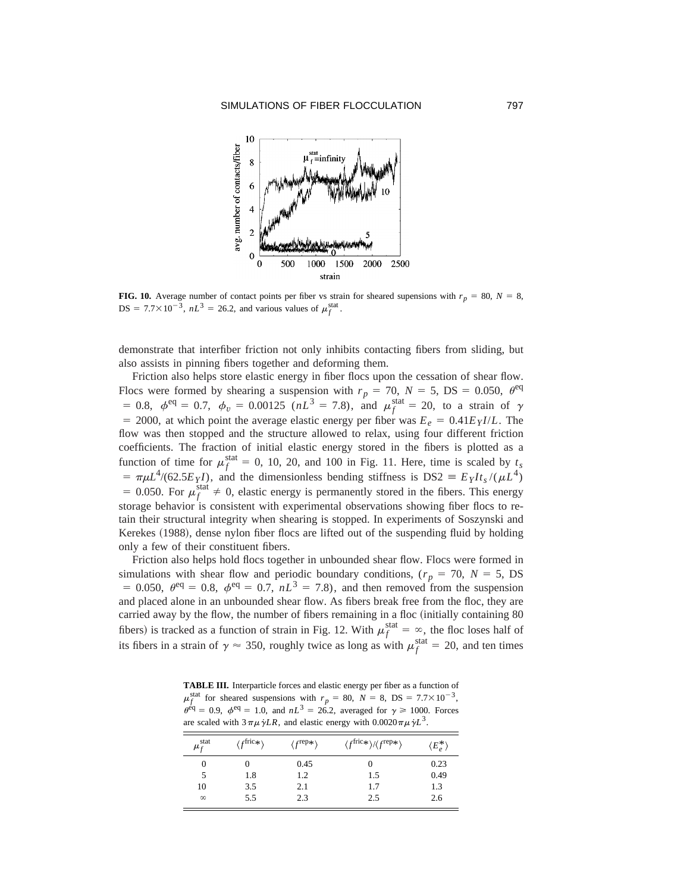

**FIG. 10.** Average number of contact points per fiber vs strain for sheared supensions with  $r_p = 80$ ,  $N = 8$ , DS =  $7.7 \times 10^{-3}$ ,  $nL^3 = 26.2$ , and various values of  $\mu_f^{\text{stat}}$ .

demonstrate that interfiber friction not only inhibits contacting fibers from sliding, but also assists in pinning fibers together and deforming them.

Friction also helps store elastic energy in fiber flocs upon the cessation of shear flow. Flocs were formed by shearing a suspension with  $r_p = 70$ ,  $N = 5$ , DS = 0.050,  $\theta^{\text{eq}}$ = 0.8,  $\phi^{\text{eq}} = 0.7$ ,  $\phi_v = 0.00125$  ( $nL^3 = 7.8$ ), and  $\mu_f^{\text{stat}} = 20$ , to a strain of  $\gamma$ = 2000, at which point the average elastic energy per fiber was  $E_e = 0.41E_Y I/L$ . The flow was then stopped and the structure allowed to relax, using four different friction coefficients. The fraction of initial elastic energy stored in the fibers is plotted as a function of time for  $\mu_f^{\text{stat}} = 0$ , 10, 20, and 100 in Fig. 11. Here, time is scaled by  $t_s$  $= \pi \mu L^4/(62.5E_Y I)$ , and the dimensionless bending stiffness is DS2  $\equiv E_Y I t_s/(\mu L^4)$ = 0.050. For  $\mu_f^{\text{stat}} \neq 0$ , elastic energy is permanently stored in the fibers. This energy storage behavior is consistent with experimental observations showing fiber flocs to retain their structural integrity when shearing is stopped. In experiments of Soszynski and Kerekes (1988), dense nylon fiber flocs are lifted out of the suspending fluid by holding only a few of their constituent fibers.

Friction also helps hold flocs together in unbounded shear flow. Flocs were formed in simulations with shear flow and periodic boundary conditions, ( $r_p = 70$ ,  $N = 5$ , DS = 0.050,  $\theta^{\text{eq}}$  = 0.8,  $\phi^{\text{eq}}$  = 0.7,  $nL^3$  = 7.8), and then removed from the suspension and placed alone in an unbounded shear flow. As fibers break free from the floc, they are carried away by the flow, the number of fibers remaining in a floc (initially containing 80 fibers) is tracked as a function of strain in Fig. 12. With  $\mu_f^{\text{stat}} = \infty$ , the floc loses half of its fibers in a strain of  $\gamma \approx 350$ , roughly twice as long as with  $\mu_f^{\text{stat}} = 20$ , and ten times

**TABLE III.** Interparticle forces and elastic energy per fiber as a function of  $\mu_f^{\text{stat}}$  for sheared suspensions with  $r_p = 80$ ,  $N = 8$ , DS = 7.7×10<sup>-3</sup>,  $\theta^{\text{eq}} = 0.9$ ,  $\phi^{\text{eq}} = 1.0$ , and  $nL^3 = 26.2$ , averaged for  $\gamma \ge 1000$ . Forces are scaled with  $3\pi\mu\dot{\gamma}LR$ , and elastic energy with  $0.0020\pi\mu\dot{\gamma}L^3$ .

| $\mu_f^{\text{stat}}$ | $/f$ fric $*\$ | $\langle f^{\rm rep}*\rangle$ | $\langle f^{\text{fric}*}\rangle / \langle f^{\text{rep}*}\rangle$ | $\langle E_e^* \rangle$ |
|-----------------------|----------------|-------------------------------|--------------------------------------------------------------------|-------------------------|
|                       |                | 0.45                          |                                                                    | 0.23                    |
|                       | 1.8            | 1.2                           | 1.5                                                                | 0.49                    |
| 10                    | 3.5            | 2.1                           | 1.7                                                                | 1.3                     |
| $\infty$              | 5.5            | 2.3                           | 2.5                                                                | 2.6                     |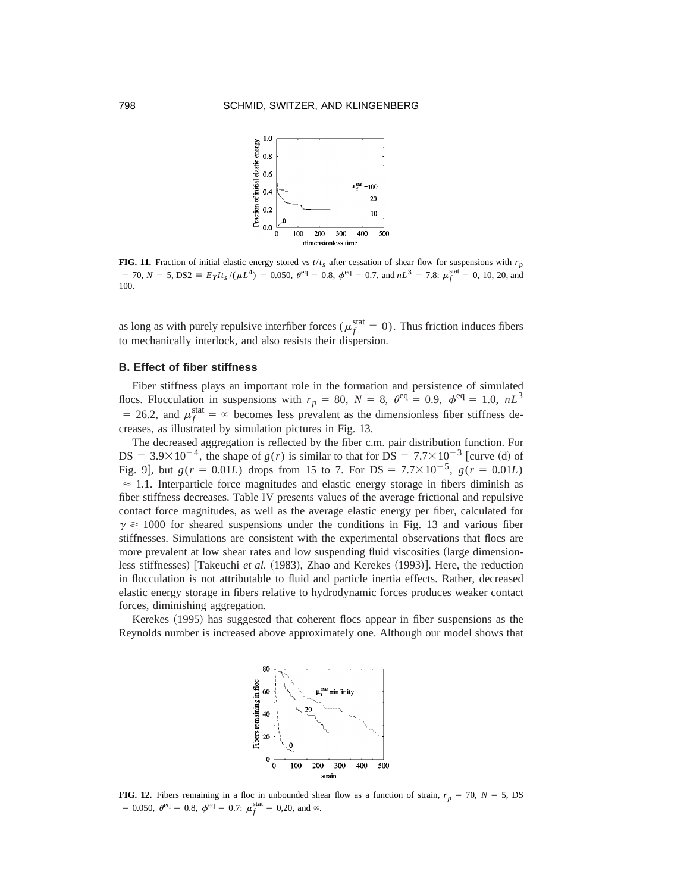

**FIG. 11.** Fraction of initial elastic energy stored vs  $t/t_s$  after cessation of shear flow for suspensions with  $r_p$  $= 70$ ,  $N = 5$ ,  $DS2 \equiv E_Y I t_s / (\mu L^4) = 0.050$ ,  $\theta^{\text{eq}} = 0.8$ ,  $\phi^{\text{eq}} = 0.7$ , and  $nL^3 = 7.8$ :  $\mu_f^{\text{stat}} = 0$ , 10, 20, and 100.

as long as with purely repulsive interfiber forces ( $\mu_f^{\text{stat}} = 0$ ). Thus friction induces fibers to mechanically interlock, and also resists their dispersion.

# **B. Effect of fiber stiffness**

Fiber stiffness plays an important role in the formation and persistence of simulated flocs. Flocculation in suspensions with  $r_p = 80$ ,  $N = 8$ ,  $\theta^{\text{eq}} = 0.9$ ,  $\phi^{\text{eq}} = 1.0$ ,  $nL^3$ = 26.2, and  $\mu_f^{\text{stat}} = \infty$  becomes less prevalent as the dimensionless fiber stiffness decreases, as illustrated by simulation pictures in Fig. 13.

The decreased aggregation is reflected by the fiber c.m. pair distribution function. For  $DS = 3.9 \times 10^{-4}$ , the shape of *g(r)* is similar to that for  $DS = 7.7 \times 10^{-3}$  [curve (d) of Fig. 9], but  $g(r = 0.01L)$  drops from 15 to 7. For DS =  $7.7 \times 10^{-5}$ ,  $g(r = 0.01L)$  $\approx$  1.1. Interparticle force magnitudes and elastic energy storage in fibers diminish as fiber stiffness decreases. Table IV presents values of the average frictional and repulsive contact force magnitudes, as well as the average elastic energy per fiber, calculated for  $\gamma \geq 1000$  for sheared suspensions under the conditions in Fig. 13 and various fiber stiffnesses. Simulations are consistent with the experimental observations that flocs are more prevalent at low shear rates and low suspending fluid viscosities (large dimensionless stiffnesses) [Takeuchi *et al.* (1983), Zhao and Kerekes (1993)]. Here, the reduction in flocculation is not attributable to fluid and particle inertia effects. Rather, decreased elastic energy storage in fibers relative to hydrodynamic forces produces weaker contact forces, diminishing aggregation.

Kerekes (1995) has suggested that coherent flocs appear in fiber suspensions as the Reynolds number is increased above approximately one. Although our model shows that



**FIG. 12.** Fibers remaining in a floc in unbounded shear flow as a function of strain,  $r_p = 70$ ,  $N = 5$ , DS = 0.050,  $\theta^{\text{eq}} = 0.8$ ,  $\phi^{\text{eq}} = 0.7$ :  $\mu_f^{\text{stat}} = 0.20$ , and  $\infty$ .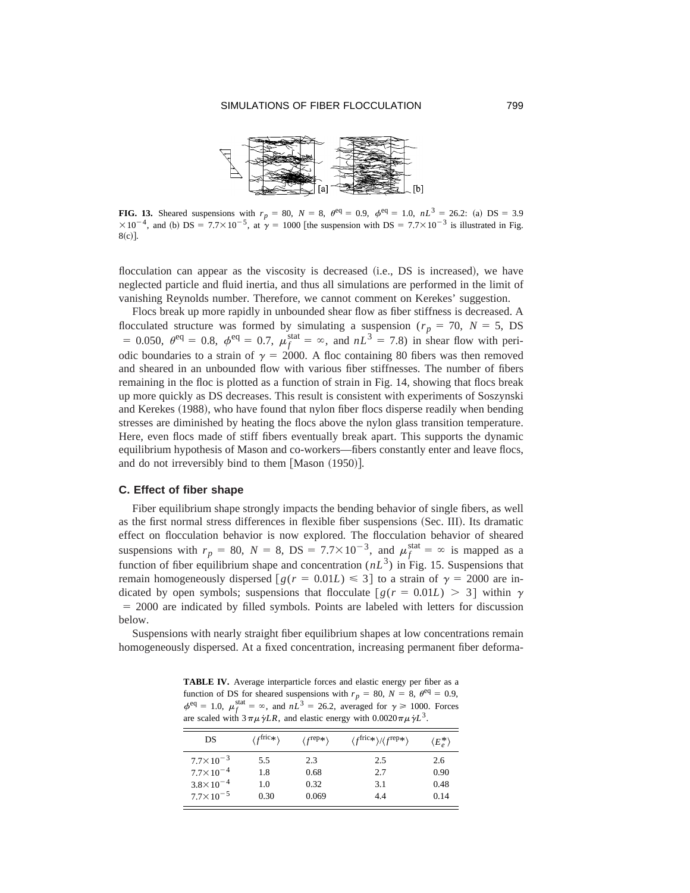

**FIG. 13.** Sheared suspensions with  $r_p = 80$ ,  $N = 8$ ,  $\theta^{\text{eq}} = 0.9$ ,  $\phi^{\text{eq}} = 1.0$ ,  $nL^3 = 26.2$ : (a) DS = 3.9  $\times 10^{-4}$ , and (b) DS = 7.7 $\times 10^{-5}$ , at  $\gamma = 1000$  [the suspension with DS = 7.7 $\times 10^{-3}$  is illustrated in Fig.  $8(c)$ ].

flocculation can appear as the viscosity is decreased  $(i.e., DS is increased)$ , we have neglected particle and fluid inertia, and thus all simulations are performed in the limit of vanishing Reynolds number. Therefore, we cannot comment on Kerekes' suggestion.

Flocs break up more rapidly in unbounded shear flow as fiber stiffness is decreased. A flocculated structure was formed by simulating a suspension ( $r_p = 70$ ,  $N = 5$ , DS = 0.050,  $\theta^{eq} = 0.8$ ,  $\phi^{eq} = 0.7$ ,  $\mu_f^{stat} = \infty$ , and  $nL^3 = 7.8$ ) in shear flow with periodic boundaries to a strain of  $\gamma = 2000$ . A floc containing 80 fibers was then removed and sheared in an unbounded flow with various fiber stiffnesses. The number of fibers remaining in the floc is plotted as a function of strain in Fig. 14, showing that flocs break up more quickly as DS decreases. This result is consistent with experiments of Soszynski and Kerekes (1988), who have found that nylon fiber flocs disperse readily when bending stresses are diminished by heating the flocs above the nylon glass transition temperature. Here, even flocs made of stiff fibers eventually break apart. This supports the dynamic equilibrium hypothesis of Mason and co-workers—fibers constantly enter and leave flocs, and do not irreversibly bind to them  $[Mason (1950)].$ 

## **C. Effect of fiber shape**

Fiber equilibrium shape strongly impacts the bending behavior of single fibers, as well as the first normal stress differences in flexible fiber suspensions (Sec. III). Its dramatic effect on flocculation behavior is now explored. The flocculation behavior of sheared suspensions with  $r_p = 80$ ,  $N = 8$ ,  $DS = 7.7 \times 10^{-3}$ , and  $\mu_f^{\text{stat}} = \infty$  is mapped as a function of fiber equilibrium shape and concentration  $(nL^3)$  in Fig. 15. Suspensions that remain homogeneously dispersed  $\lceil g(r = 0.01L) \leq 3 \rceil$  to a strain of  $\gamma = 2000$  are indicated by open symbols; suspensions that flocculate  $\left[g(r = 0.01L) > 3\right]$  within  $\gamma$  $= 2000$  are indicated by filled symbols. Points are labeled with letters for discussion below.

Suspensions with nearly straight fiber equilibrium shapes at low concentrations remain homogeneously dispersed. At a fixed concentration, increasing permanent fiber deforma-

**TABLE IV.** Average interparticle forces and elastic energy per fiber as a function of DS for sheared suspensions with  $r_p = 80$ ,  $N = 8$ ,  $\theta^{\text{eq}} = 0.9$ ,  $\phi^{\text{eq}} = 1.0$ ,  $\mu_f^{\text{stat}} = \infty$ , and  $nL^3 = 26.2$ , averaged for  $\gamma \ge 1000$ . Forces are scaled with  $3 \pi \mu \dot{\gamma} L R$ , and elastic energy with  $0.0020 \pi \mu \dot{\gamma} L^3$ .

| DS                   | $\langle f^{\text{fric}*} \rangle$ | $\langle f^{\text{rep}} \ast \rangle$ | $\langle f^{\text{fric}*}\rangle / \langle f^{\text{rep}*}\rangle$ | $\langle E_e^* \rangle$ |
|----------------------|------------------------------------|---------------------------------------|--------------------------------------------------------------------|-------------------------|
| $7.7 \times 10^{-3}$ | 5.5                                | 2.3                                   | 2.5                                                                | 2.6                     |
| $7.7 \times 10^{-4}$ | 1.8                                | 0.68                                  | 2.7                                                                | 0.90                    |
| $3.8 \times 10^{-4}$ | 1.0                                | 0.32                                  | 3.1                                                                | 0.48                    |
| $7.7 \times 10^{-5}$ | 0.30                               | 0.069                                 | 44                                                                 | 0.14                    |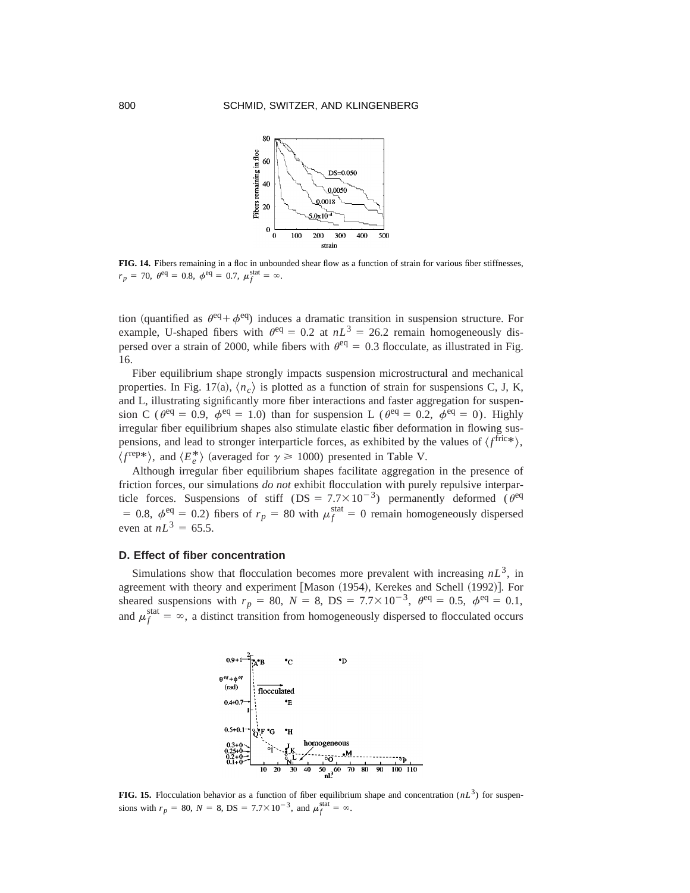

**FIG. 14.** Fibers remaining in a floc in unbounded shear flow as a function of strain for various fiber stiffnesses,  $r_p = 70, \ \theta^{\text{eq}} = 0.8, \ \phi^{\text{eq}} = 0.7, \ \mu_f^{\text{stat}} = \infty.$ 

tion (quantified as  $\theta^{\text{eq}} + \phi^{\text{eq}}$ ) induces a dramatic transition in suspension structure. For example, U-shaped fibers with  $\theta^{eq} = 0.2$  at  $nL^3 = 26.2$  remain homogeneously dispersed over a strain of 2000, while fibers with  $\theta^{\text{eq}} = 0.3$  flocculate, as illustrated in Fig. 16.

Fiber equilibrium shape strongly impacts suspension microstructural and mechanical properties. In Fig. 17(a),  $\langle n_c \rangle$  is plotted as a function of strain for suspensions C, J, K, and L, illustrating significantly more fiber interactions and faster aggregation for suspension C ( $\theta^{\text{eq}} = 0.9$ ,  $\phi^{\text{eq}} = 1.0$ ) than for suspension L ( $\theta^{\text{eq}} = 0.2$ ,  $\phi^{\text{eq}} = 0$ ). Highly irregular fiber equilibrium shapes also stimulate elastic fiber deformation in flowing suspensions, and lead to stronger interparticle forces, as exhibited by the values of  $\langle f^{\text{fric}*}\rangle$ ,  $\langle f^{\text{rep}}\rangle$ , and  $\langle E_e^* \rangle$  (averaged for  $\gamma \ge 1000$ ) presented in Table V.

Although irregular fiber equilibrium shapes facilitate aggregation in the presence of friction forces, our simulations *do not* exhibit flocculation with purely repulsive interparticle forces. Suspensions of stiff (DS =  $7.7 \times 10^{-3}$ ) permanently deformed ( $\theta^{\text{eq}}$ ) = 0.8,  $\phi^{\text{eq}} = 0.2$ ) fibers of  $r_p = 80$  with  $\mu_f^{\text{stat}} = 0$  remain homogeneously dispersed even at  $nL^3 = 65.5$ .

## **D. Effect of fiber concentration**

Simulations show that flocculation becomes more prevalent with increasing  $nL<sup>3</sup>$ , in agreement with theory and experiment [Mason (1954), Kerekes and Schell (1992)]. For sheared suspensions with  $r_p = 80$ ,  $N = 8$ ,  $DS = 7.7 \times 10^{-3}$ ,  $\theta^{\text{eq}} = 0.5$ ,  $\phi^{\text{eq}} = 0.1$ , and  $\mu_f^{\text{stat}} = \infty$ , a distinct transition from homogeneously dispersed to flocculated occurs



**FIG. 15.** Flocculation behavior as a function of fiber equilibrium shape and concentration  $(nL^3)$  for suspensions with  $r_p = 80$ ,  $N = 8$ ,  $DS = 7.7 \times 10^{-3}$ , and  $\mu_f^{\text{stat}} = \infty$ .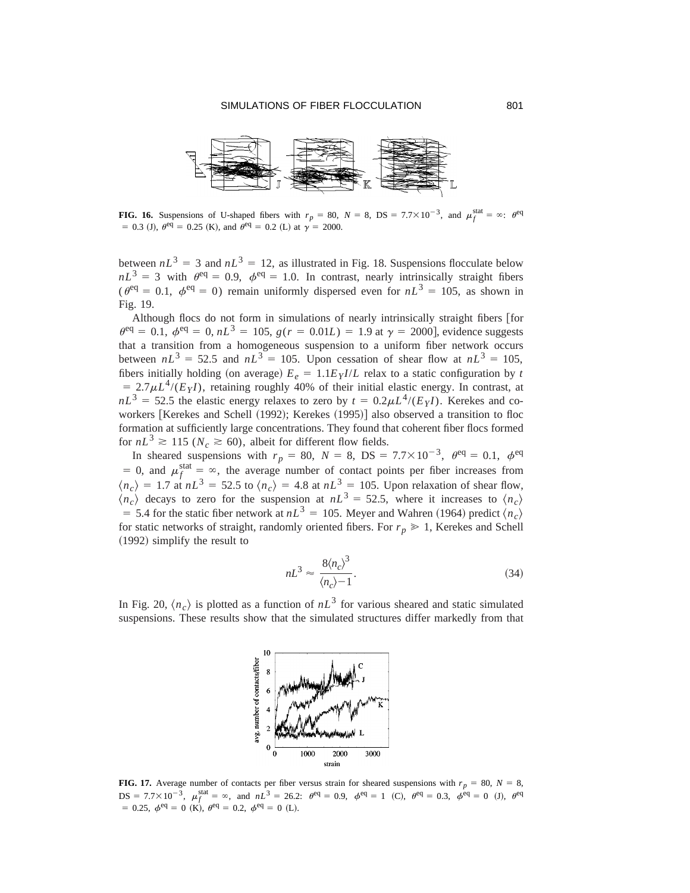

**FIG. 16.** Suspensions of U-shaped fibers with  $r_p = 80$ ,  $N = 8$ ,  $DS = 7.7 \times 10^{-3}$ , and  $\mu_f^{\text{stat}} = \infty$ :  $\theta^{\text{eq}}$  $= 0.3$  (J),  $\theta^{\text{eq}} = 0.25$  (K), and  $\theta^{\text{eq}} = 0.2$  (L) at  $\gamma = 2000$ .

between  $nL^3 = 3$  and  $nL^3 = 12$ , as illustrated in Fig. 18. Suspensions flocculate below  $nL^3 = 3$  with  $\theta^{\text{eq}} = 0.9$ ,  $\phi^{\text{eq}} = 1.0$ . In contrast, nearly intrinsically straight fibers ( $\theta^{\text{eq}} = 0.1$ ,  $\phi^{\text{eq}} = 0$ ) remain uniformly dispersed even for  $nL^3 = 105$ , as shown in Fig. 19.

Although flocs do not form in simulations of nearly intrinsically straight fibers [for  $\theta^{\text{eq}} = 0.1, \ \phi^{\text{eq}} = 0, nL^3 = 105, \ g(r = 0.01L) = 1.9$  at  $\gamma = 2000$ , evidence suggests that a transition from a homogeneous suspension to a uniform fiber network occurs between  $nL^3 = 52.5$  and  $nL^3 = 105$ . Upon cessation of shear flow at  $nL^3 = 105$ , fibers initially holding (on average)  $E_e = 1.1E_Y I/L$  relax to a static configuration by *t*  $= 2.7 \mu L^4 / (E_Y I)$ , retaining roughly 40% of their initial elastic energy. In contrast, at  $nL<sup>3</sup> = 52.5$  the elastic energy relaxes to zero by  $t = 0.2 \mu L<sup>4</sup>/(E<sub>Y</sub>I)$ . Kerekes and coworkers [Kerekes and Schell (1992); Kerekes (1995)] also observed a transition to floc formation at sufficiently large concentrations. They found that coherent fiber flocs formed for  $nL^3 \ge 115$  ( $N_c \ge 60$ ), albeit for different flow fields.

In sheared suspensions with  $r_p = 80$ ,  $N = 8$ ,  $DS = 7.7 \times 10^{-3}$ ,  $\theta^{\text{eq}} = 0.1$ ,  $\phi^{\text{eq}}$ = 0, and  $\mu_f^{\text{stat}} = \infty$ , the average number of contact points per fiber increases from  $\langle n_c \rangle = 1.7$  at  $nL^3 = 52.5$  to  $\langle n_c \rangle = 4.8$  at  $nL^3 = 105$ . Upon relaxation of shear flow,  $\langle n_c \rangle$  decays to zero for the suspension at  $nL^3 = 52.5$ , where it increases to  $\langle n_c \rangle$  $=$  5.4 for the static fiber network at  $nL^3 = 105$ . Meyer and Wahren (1964) predict  $\langle n_c \rangle$ for static networks of straight, randomly oriented fibers. For  $r_p \geq 1$ , Kerekes and Schell  $(1992)$  simplify the result to

$$
nL^3 \approx \frac{8\langle n_c \rangle^3}{\langle n_c \rangle - 1}.
$$
\n(34)

In Fig. 20,  $\langle n_c \rangle$  is plotted as a function of  $nL^3$  for various sheared and static simulated suspensions. These results show that the simulated structures differ markedly from that



**FIG. 17.** Average number of contacts per fiber versus strain for sheared suspensions with  $r_p = 80$ ,  $N = 8$ ,  $DS = 7.7 \times 10^{-3}$ ,  $\mu_f^{\text{stat}} = \infty$ , and  $nL^3 = 26.2$ :  $\theta^{\text{eq}} = 0.9$ ,  $\phi^{\text{eq}} = 1$  (C),  $\theta^{\text{eq}} = 0.3$ ,  $\phi^{\text{eq}} = 0$  (J),  $\theta^{\text{eq}}$  $= 0.25, \phi^{\text{eq}} = 0 \ (K), \ \theta^{\text{eq}} = 0.2, \ \phi^{\text{eq}} = 0 \ (L).$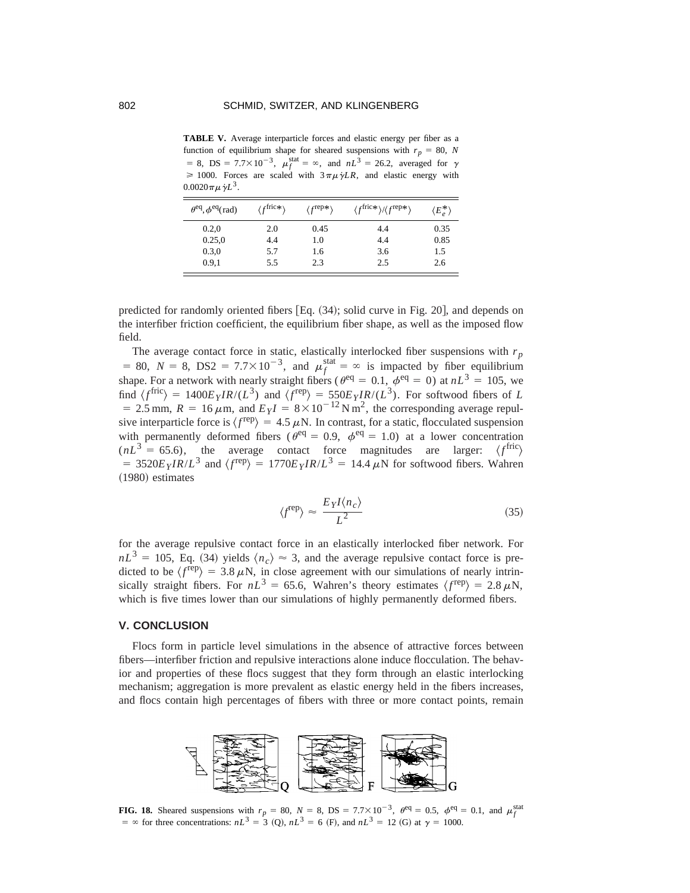TABLE V. Average interparticle forces and elastic energy per fiber as a function of equilibrium shape for sheared suspensions with  $r_p = 80$ , *N*  $= 8$ , DS = 7.7×10<sup>-3</sup>,  $\mu_f^{\text{stat}} = \infty$ , and  $nL^3 = 26.2$ , averaged for  $\gamma$  $\geq 1000$ . Forces are scaled with  $3\pi\mu\dot{\gamma}LR$ , and elastic energy with  $0.0020 \pi \mu \dot{\gamma} L^3$ .

| $\theta^{\text{eq}}, \phi^{\text{eq}}$ (rad) | $\langle f^{\text{fric}} \ast \rangle$ | $\langle f^{\rm rep}*\rangle$ | $\langle f^{\text{fric}*}\rangle / \langle f^{\text{rep}*}\rangle$ | $\langle E_e^* \rangle$ |
|----------------------------------------------|----------------------------------------|-------------------------------|--------------------------------------------------------------------|-------------------------|
| 0.2,0                                        | 2.0                                    | 0.45                          | 4.4                                                                | 0.35                    |
| 0.25,0                                       | 4.4                                    | 1.0                           | 4.4                                                                | 0.85                    |
| 0.3,0                                        | 5.7                                    | 1.6                           | 3.6                                                                | 1.5                     |
| 0.9.1                                        | 5.5                                    | 2.3                           | 2.5                                                                | 2.6                     |

predicted for randomly oriented fibers  $[Eq. (34);$  solid curve in Fig. 20, and depends on the interfiber friction coefficient, the equilibrium fiber shape, as well as the imposed flow field.

The average contact force in static, elastically interlocked fiber suspensions with  $r_p$ = 80,  $N = 8$ , DS2 = 7.7×10<sup>-3</sup>, and  $\mu_f^{\text{stat}} = \infty$  is impacted by fiber equilibrium shape. For a network with nearly straight fibers ( $\theta^{\text{eq}} = 0.1$ ,  $\phi^{\text{eq}} = 0$ ) at  $nL^3 = 105$ , we find  $\langle f^{\text{fric}} \rangle = 1400E_YIR/(L^3)$  and  $\langle f^{\text{rep}} \rangle = 550E_YIR/(L^3)$ . For softwood fibers of *L*  $= 2.5$  mm,  $R = 16 \mu$ m, and  $E_yI = 8 \times 10^{-12}$  N m<sup>2</sup>, the corresponding average repulsive interparticle force is  $\langle f^{rep} \rangle = 4.5 \mu N$ . In contrast, for a static, flocculated suspension with permanently deformed fibers ( $\theta^{\text{eq}} = 0.9$ ,  $\phi^{\text{eq}} = 1.0$ ) at a lower concentration  $(nL^3 = 65.6)$ , the average contact force magnitudes are larger:  $\langle f^{\text{fric}} \rangle$  $= 3520E_yIR/L^3$  and  $\langle f^{rep} \rangle = 1770E_yIR/L^3 = 14.4 \mu N$  for softwood fibers. Wahren  $(1980)$  estimates

$$
\langle f^{\text{rep}} \rangle \approx \frac{E_Y I \langle n_c \rangle}{L^2} \tag{35}
$$

for the average repulsive contact force in an elastically interlocked fiber network. For  $nL<sup>3</sup> = 105$ , Eq. (34) yields  $\langle n_c \rangle \approx 3$ , and the average repulsive contact force is predicted to be  $\langle f^{rep} \rangle = 3.8 \mu N$ , in close agreement with our simulations of nearly intrinsically straight fibers. For  $nL^3 = 65.6$ , Wahren's theory estimates  $\langle f^{rep} \rangle = 2.8 \mu\text{N}$ , which is five times lower than our simulations of highly permanently deformed fibers.

## **V. CONCLUSION**

Flocs form in particle level simulations in the absence of attractive forces between fibers—interfiber friction and repulsive interactions alone induce flocculation. The behavior and properties of these flocs suggest that they form through an elastic interlocking mechanism; aggregation is more prevalent as elastic energy held in the fibers increases, and flocs contain high percentages of fibers with three or more contact points, remain



**FIG. 18.** Sheared suspensions with  $r_p = 80$ ,  $N = 8$ ,  $DS = 7.7 \times 10^{-3}$ ,  $\theta^{\text{eq}} = 0.5$ ,  $\phi^{\text{eq}} = 0.1$ , and  $\mu_f^{\text{stat}}$  $=$   $\infty$  for three concentrations:  $nL^3 = 3$  (O),  $nL^3 = 6$  (F), and  $nL^3 = 12$  (G) at  $\gamma = 1000$ .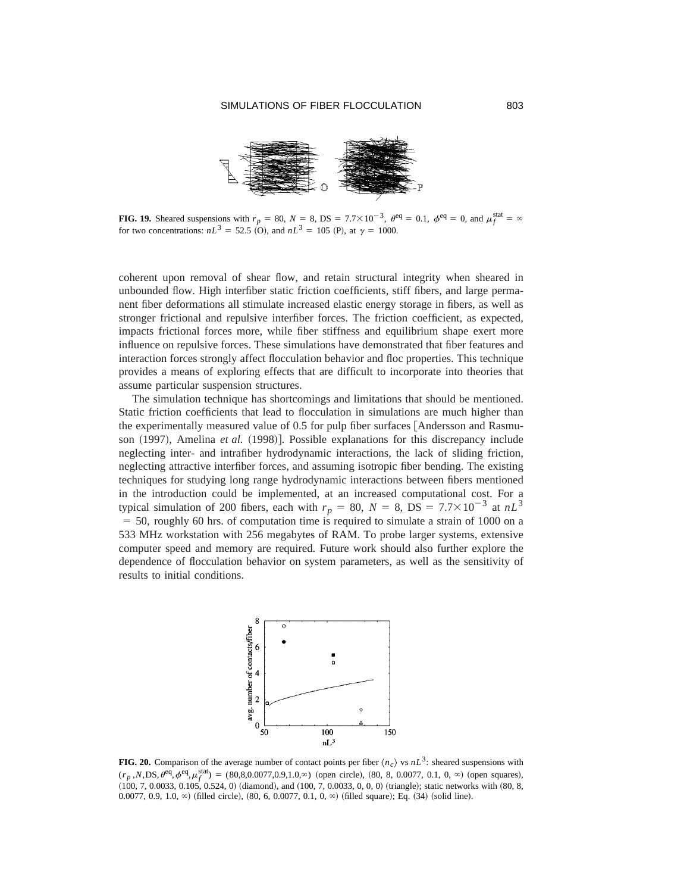

**FIG. 19.** Sheared suspensions with  $r_p = 80$ ,  $N = 8$ ,  $DS = 7.7 \times 10^{-3}$ ,  $\theta^{\text{eq}} = 0.1$ ,  $\phi^{\text{eq}} = 0$ , and  $\mu_f^{\text{stat}} = \infty$ for two concentrations:  $nL^3 = 52.5$  (O), and  $nL^3 = 105$  (P), at  $\gamma = 1000$ .

coherent upon removal of shear flow, and retain structural integrity when sheared in unbounded flow. High interfiber static friction coefficients, stiff fibers, and large permanent fiber deformations all stimulate increased elastic energy storage in fibers, as well as stronger frictional and repulsive interfiber forces. The friction coefficient, as expected, impacts frictional forces more, while fiber stiffness and equilibrium shape exert more influence on repulsive forces. These simulations have demonstrated that fiber features and interaction forces strongly affect flocculation behavior and floc properties. This technique provides a means of exploring effects that are difficult to incorporate into theories that assume particular suspension structures.

The simulation technique has shortcomings and limitations that should be mentioned. Static friction coefficients that lead to flocculation in simulations are much higher than the experimentally measured value of 0.5 for pulp fiber surfaces [Andersson and Rasmuson (1997), Amelina *et al.* (1998)]. Possible explanations for this discrepancy include neglecting inter- and intrafiber hydrodynamic interactions, the lack of sliding friction, neglecting attractive interfiber forces, and assuming isotropic fiber bending. The existing techniques for studying long range hydrodynamic interactions between fibers mentioned in the introduction could be implemented, at an increased computational cost. For a typical simulation of 200 fibers, each with  $r_p = 80$ ,  $N = 8$ ,  $DS = 7.7 \times 10^{-3}$  at  $nL^3$  $=$  50, roughly 60 hrs. of computation time is required to simulate a strain of 1000 on a 533 MHz workstation with 256 megabytes of RAM. To probe larger systems, extensive computer speed and memory are required. Future work should also further explore the dependence of flocculation behavior on system parameters, as well as the sensitivity of results to initial conditions.



**FIG. 20.** Comparison of the average number of contact points per fiber  $\langle n_c \rangle$  vs  $nL^3$ : sheared suspensions with  $(r_p, N, DS, \theta^{\text{eq}}, \phi^{\text{eq}}, \mu_f^{\text{stat}}) = (80,8,0.0077,0.9,1.0,\infty)$  (open circle),  $(80, 8, 0.0077, 0.1, 0, \infty)$  (open squares),  $(100, 7, 0.0033, 0.105, 0.524, 0)$  (diamond), and  $(100, 7, 0.0033, 0, 0, 0)$  (triangle); static networks with  $(80, 8, 0.003, 0.003, 0.003, 0.003)$ 0.0077, 0.9, 1.0,  $\infty$ ) (filled circle), (80, 6, 0.0077, 0.1, 0,  $\infty$ ) (filled square); Eq. (34) (solid line).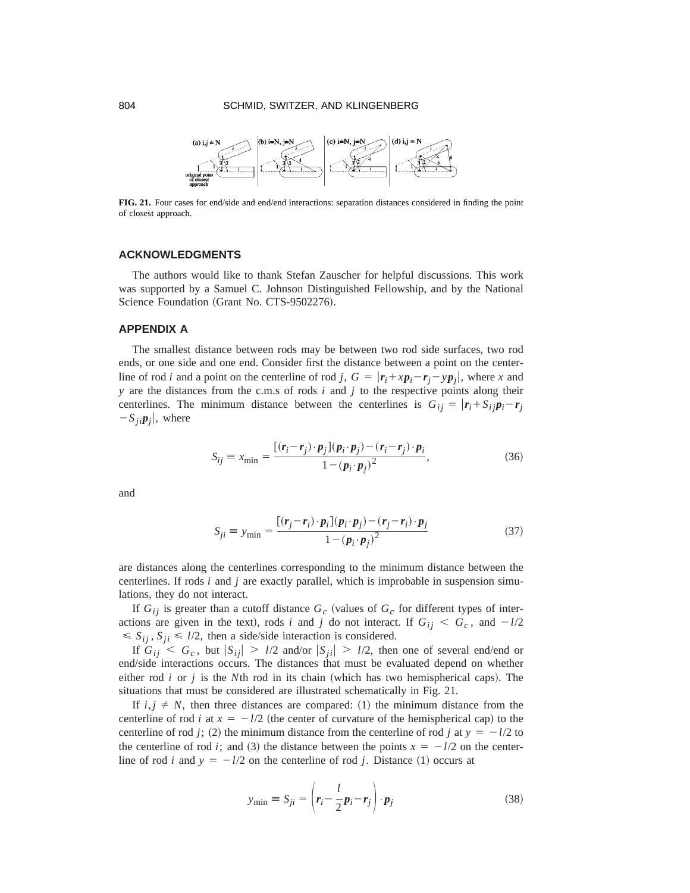

**FIG. 21.** Four cases for end/side and end/end interactions: separation distances considered in finding the point of closest approach.

# **ACKNOWLEDGMENTS**

The authors would like to thank Stefan Zauscher for helpful discussions. This work was supported by a Samuel C. Johnson Distinguished Fellowship, and by the National Science Foundation (Grant No. CTS-9502276).

# **APPENDIX A**

The smallest distance between rods may be between two rod side surfaces, two rod ends, or one side and one end. Consider first the distance between a point on the centerline of rod *i* and a point on the centerline of rod *j*,  $G = |r_i + xp_i - r_j - yp_j|$ , where *x* and *y* are the distances from the c.m.s of rods *i* and *j* to the respective points along their centerlines. The minimum distance between the centerlines is  $G_{ij} = |r_i + S_{ij}p_i - r_j|$  $-S_{ji}p_{j}$ , where

$$
S_{ij} \equiv x_{\min} = \frac{\left[ (\mathbf{r}_i - \mathbf{r}_j) \cdot \mathbf{p}_j \right] (\mathbf{p}_i \cdot \mathbf{p}_j) - (\mathbf{r}_i - \mathbf{r}_j) \cdot \mathbf{p}_i}{1 - (\mathbf{p}_i \cdot \mathbf{p}_j)^2},\tag{36}
$$

and

$$
S_{ji} \equiv y_{\text{min}} = \frac{\left[ (\mathbf{r}_j - \mathbf{r}_i) \cdot \mathbf{p}_i \right] (\mathbf{p}_i \cdot \mathbf{p}_j) - (\mathbf{r}_j - \mathbf{r}_i) \cdot \mathbf{p}_j}{1 - (\mathbf{p}_i \cdot \mathbf{p}_j)^2}
$$
(37)

are distances along the centerlines corresponding to the minimum distance between the centerlines. If rods *i* and *j* are exactly parallel, which is improbable in suspension simulations, they do not interact.

If  $G_{ij}$  is greater than a cutoff distance  $G_c$  (values of  $G_c$  for different types of interactions are given in the text), rods *i* and *j* do not interact. If  $G_{ij} \leq G_c$ , and  $-l/2$  $\leq S_{ij}$ ,  $S_{ji} \leq l/2$ , then a side/side interaction is considered.

If  $G_{ii} < G_c$ , but  $|S_{ii}| > l/2$  and/or  $|S_{ii}| > l/2$ , then one of several end/end or end/side interactions occurs. The distances that must be evaluated depend on whether either rod  $i$  or  $j$  is the  $N$ th rod in its chain (which has two hemispherical caps). The situations that must be considered are illustrated schematically in Fig. 21.

If  $i, j \neq N$ , then three distances are compared: (1) the minimum distance from the centerline of rod *i* at  $x = -l/2$  (the center of curvature of the hemispherical cap) to the centerline of rod *j*; (2) the minimum distance from the centerline of rod *j* at  $y = -l/2$  to the centerline of rod *i*; and (3) the distance between the points  $x = -l/2$  on the centerline of rod *i* and  $y = -l/2$  on the centerline of rod *j*. Distance (1) occurs at

$$
y_{\min} \equiv S_{ji} = \left( \mathbf{r}_i - \frac{l}{2} \mathbf{p}_i - \mathbf{r}_j \right) \cdot \mathbf{p}_j \tag{38}
$$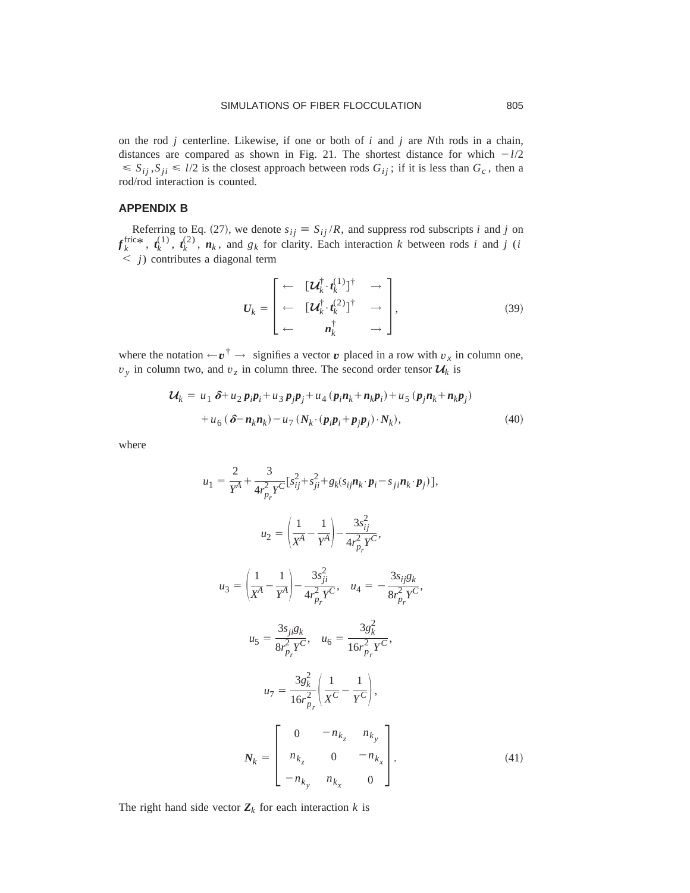on the rod *j* centerline. Likewise, if one or both of *i* and *j* are *N*th rods in a chain, distances are compared as shown in Fig. 21. The shortest distance for which  $-l/2$  $\leq S_{ij}$ ,  $S_{ji} \leq l/2$  is the closest approach between rods  $G_{ij}$ ; if it is less than  $G_c$ , then a rod/rod interaction is counted.

# **APPENDIX B**

Referring to Eq. (27), we denote  $s_{ij} \equiv S_{ij} / R$ , and suppress rod subscripts *i* and *j* on  $f_k^{\text{fric}*}$ ,  $t_k^{(1)}$ ,  $t_k^{(2)}$ ,  $n_k$ , and  $g_k$  for clarity. Each interaction *k* between rods *i* and *j* (*i*  $\langle j \rangle$  contributes a diagonal term

$$
\boldsymbol{U}_{k} = \begin{bmatrix} \leftarrow & [\boldsymbol{U}_{k}^{\dagger} \cdot \boldsymbol{t}_{k}^{(1)}]^{\dagger} & \rightarrow \\ \leftarrow & [\boldsymbol{U}_{k}^{\dagger} \cdot \boldsymbol{t}_{k}^{(2)}]^{\dagger} & \rightarrow \\ \leftarrow & \boldsymbol{n}_{k}^{\dagger} & \rightarrow \end{bmatrix}, \qquad (39)
$$

where the notation  $\leftarrow v^{\dagger} \rightarrow$  signifies a vector *v* placed in a row with  $v_x$  in column one,  $v_y$  in column two, and  $v_z$  in column three. The second order tensor  $\mathcal{U}_k$  is

$$
\mathcal{U}_k = u_1 \, \delta + u_2 p_i p_i + u_3 p_j p_j + u_4 \left( p_i n_k + n_k p_i \right) + u_5 \left( p_j n_k + n_k p_j \right)
$$

$$
+ u_6 \left( \delta - n_k n_k \right) - u_7 \left( N_k \cdot \left( p_i p_i + p_j p_j \right) \cdot N_k \right), \tag{40}
$$

where

$$
u_{1} = \frac{2}{Y^{A}} + \frac{3}{4r_{p_{r}}^{2}Y^{C}}[s_{ij}^{2} + s_{ji}^{2} + g_{k}(s_{ij}n_{k} \cdot p_{i} - s_{ji}n_{k} \cdot p_{j})],
$$
  
\n
$$
u_{2} = \left(\frac{1}{X^{A}} - \frac{1}{Y^{A}}\right) - \frac{3s_{ij}^{2}}{4r_{p_{r}}^{2}Y^{C}},
$$
  
\n
$$
u_{3} = \left(\frac{1}{X^{A}} - \frac{1}{Y^{A}}\right) - \frac{3s_{ji}^{2}}{4r_{p_{r}}^{2}Y^{C}},
$$
  
\n
$$
u_{4} = -\frac{3s_{ij}g_{k}}{8r_{p_{r}}^{2}Y^{C}},
$$
  
\n
$$
u_{5} = \frac{3s_{ji}g_{k}}{8r_{p_{r}}^{2}Y^{C}},
$$
  
\n
$$
u_{6} = \frac{3g_{k}^{2}}{16r_{p_{r}}^{2}}\left(\frac{1}{X^{C}} - \frac{1}{Y^{C}}\right),
$$
  
\n
$$
N_{k} = \begin{bmatrix} 0 & -n_{k_{z}} & n_{k_{y}} \\ n_{k_{z}} & 0 & -n_{k_{x}} \\ -n_{k_{y}} & n_{k_{x}} & 0 \end{bmatrix}.
$$
  
\n(41)

The right hand side vector  $Z_k$  for each interaction  $k$  is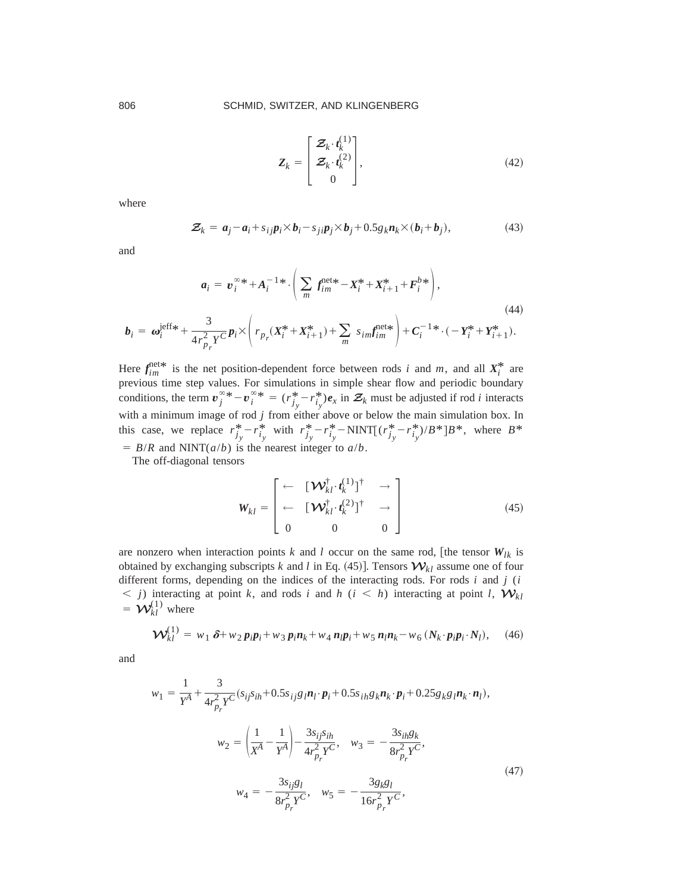$$
\mathbf{Z}_{k} = \begin{bmatrix} \mathbf{Z}_{k} \cdot \mathbf{t}_{k}^{(1)} \\ \mathbf{Z}_{k} \cdot \mathbf{t}_{k}^{(2)} \\ 0 \end{bmatrix}, \tag{42}
$$

where

$$
\mathcal{Z}_k = a_j - a_i + s_{ij} p_i \times b_i - s_{ji} p_j \times b_j + 0.5 g_k n_k \times (b_i + b_j), \qquad (43)
$$

and

$$
a_{i} = v_{i}^{\infty} * + A_{i}^{-1} * \cdot \left( \sum_{m} f_{im}^{\text{net}*} - X_{i}^{*} + X_{i+1}^{*} + F_{i}^{b*} \right),
$$
\n
$$
\tag{44}
$$

$$
\boldsymbol{b}_i = \boldsymbol{\omega}_i^{\text{left}} + \frac{3}{4r_{p_r}^2 Y^C} \boldsymbol{p}_i \times \left( r_{p_r} (X_i^* + X_{i+1}^*) + \sum_m s_{im} f_{im}^{\text{net}*} \right) + C_i^{-1*} \cdot (-Y_i^* + Y_{i+1}^*).
$$

Here  $f_{im}^{\text{net}*}$  is the net position-dependent force between rods *i* and *m*, and all  $X_i^*$  are previous time step values. For simulations in simple shear flow and periodic boundary conditions, the term  $v_j^{\infty,*} - v_i^{\infty,*} = (r_{j_y}^* - r_{i_y}^*)e_x$  in  $\mathcal{Z}_k$  must be adjusted if rod *i* interacts with a minimum image of rod *j* from either above or below the main simulation box. In this case, we replace  $r_{j_y}^* - r_{i_y}^*$  with  $r_{j_y}^* - r_{i_y}^* - \text{NINT}[(r_{j_y}^* - r_{i_y}^*)/B^*]B^*$ , where  $B^*$  $= B/R$  and NINT( $a/b$ ) is the nearest integer to  $a/b$ .

The off-diagonal tensors

$$
\mathbf{W}_{kl} = \begin{bmatrix} \leftarrow & [\mathbf{W}_{kl}^{\dagger} \cdot \mathbf{t}_k^{(1)} ]^{\dagger} & \rightarrow \\ \leftarrow & [\mathbf{W}_{kl}^{\dagger} \cdot \mathbf{t}_k^{(2)} ]^{\dagger} & \rightarrow \\ 0 & 0 & 0 \end{bmatrix}
$$
(45)

are nonzero when interaction points *k* and *l* occur on the same rod, [the tensor  $W_{lk}$  is obtained by exchanging subscripts *k* and *l* in Eq. (45)]. Tensors  $W_{kl}$  assume one of four different forms, depending on the indices of the interacting rods. For rods *i* and *j* (*i*  $\leq$  *j*) interacting at point *k*, and rods *i* and *h* (*i*  $\leq$  *h*) interacting at point *l*,  $W_{kl}$  $= \mathbf{W}_{kl}^{(1)}$  where

$$
\mathbf{\mathcal{W}}_{kl}^{(1)} = w_1 \, \delta + w_2 \, p_i p_i + w_3 \, p_i n_k + w_4 \, n_i p_i + w_5 \, n_i n_k - w_6 \, (N_k \cdot p_i p_i \cdot N_l), \tag{46}
$$

and

$$
w_{1} = \frac{1}{Y^{A}} + \frac{3}{4r_{p_{r}}^{2}Y^{C}}(s_{ij}s_{ih} + 0.5s_{ij}g_{l}\mathbf{n}_{l} \cdot \mathbf{p}_{i} + 0.5s_{ih}g_{k}\mathbf{n}_{k} \cdot \mathbf{p}_{i} + 0.25g_{k}g_{l}\mathbf{n}_{k} \cdot \mathbf{n}_{l}),
$$
  

$$
w_{2} = \left(\frac{1}{X^{A}} - \frac{1}{Y^{A}}\right) - \frac{3s_{ij}s_{ih}}{4r_{p_{r}}^{2}Y^{C}}, \quad w_{3} = -\frac{3s_{ih}g_{k}}{8r_{p_{r}}^{2}Y^{C}},
$$
  

$$
w_{4} = -\frac{3s_{ij}g_{l}}{8r_{p_{r}}^{2}Y^{C}}, \quad w_{5} = -\frac{3g_{k}g_{l}}{16r_{p_{r}}^{2}Y^{C}},
$$
  
(47)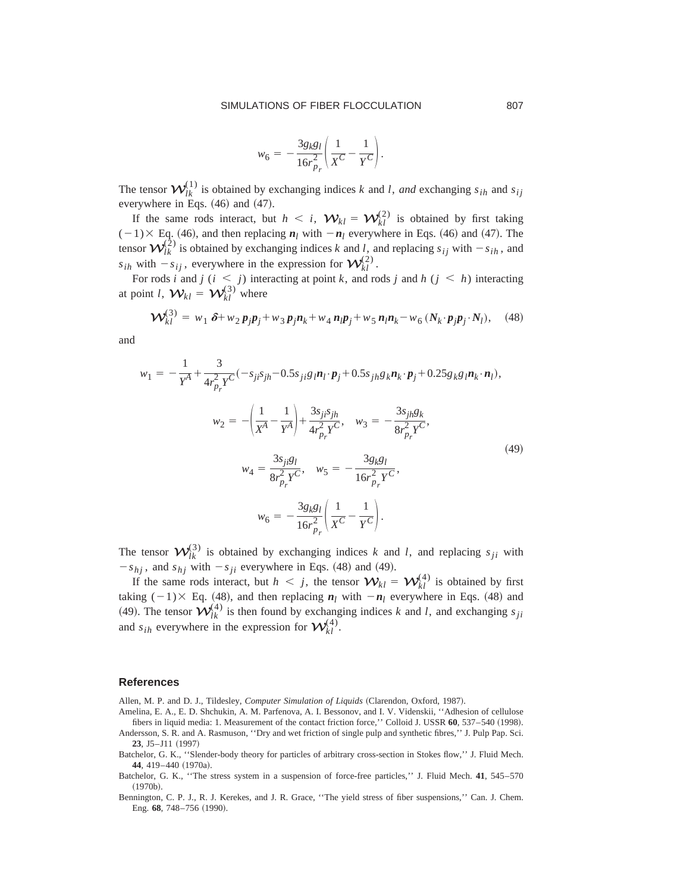$$
w_6 = -\frac{3g_k g_l}{16r_{p_r}^2} \left( \frac{1}{X^C} - \frac{1}{Y^C} \right).
$$

The tensor  $\mathcal{W}_{lk}^{(1)}$  is obtained by exchanging indices *k* and *l*, *and* exchanging  $s_{ih}$  and  $s_{ij}$ everywhere in Eqs.  $(46)$  and  $(47)$ .

If the same rods interact, but  $h < i$ ,  $\mathcal{W}_{kl} = \mathcal{W}_{kl}^{(2)}$  is obtained by first taking  $(-1) \times$  Eq. (46), and then replacing  $n_l$  with  $-n_l$  everywhere in Eqs. (46) and (47). The tensor  $\mathcal{W}_{lk}^{(2)}$  is obtained by exchanging indices *k* and *l*, and replacing  $s_{ij}$  with  $-s_{ih}$ , and  $s_{ih}$  with  $-s_{ij}$ , everywhere in the expression for  $\mathcal{W}_{kl}^{(2)}$ .

For rods *i* and *j* ( $i \le j$ ) interacting at point *k*, and rods *j* and *h* ( $j \le h$ ) interacting at point *l*,  $\mathbf{W}_{kl} = \mathbf{W}_{kl}^{(3)}$  where

$$
\mathbf{\mathcal{W}}_{kl}^{(3)} = w_1 \,\delta + w_2 p_j p_j + w_3 p_j n_k + w_4 n_j p_j + w_5 n_l n_k - w_6 \left( N_k \cdot p_j p_j \cdot N_l \right), \quad (48)
$$

and

$$
w_1 = -\frac{1}{Y^A} + \frac{3}{4r_{p_r}^2 Y^C} (-s_{ji}s_{jh} - 0.5s_{ji}g_l \mathbf{n}_l \cdot \mathbf{p}_j + 0.5s_{jh}g_k \mathbf{n}_k \cdot \mathbf{p}_j + 0.25g_k g_l \mathbf{n}_k \cdot \mathbf{n}_l),
$$
  

$$
w_2 = -\left(\frac{1}{X^A} - \frac{1}{Y^A}\right) + \frac{3s_{ji}s_{jh}}{4r_{p_r}^2 Y^C}, \quad w_3 = -\frac{3s_{jh}g_k}{8r_{p_r}^2 Y^C},
$$
  

$$
w_4 = \frac{3s_{ji}g_l}{8r_{p_r}^2 Y^C}, \quad w_5 = -\frac{3g_k g_l}{16r_{p_r}^2 Y^C},
$$
  

$$
w_6 = -\frac{3g_k g_l}{16r_{p_r}^2} \left(\frac{1}{X^C} - \frac{1}{Y^C}\right).
$$
 (49)

The tensor  $\mathcal{W}_{lk}^{(3)}$  is obtained by exchanging indices *k* and *l*, and replacing  $s_{ji}$  with  $-s_{hj}$ , and  $s_{hj}$  with  $-s_{ji}$  everywhere in Eqs. (48) and (49).

If the same rods interact, but  $h < j$ , the tensor  $W_{kl} = W_{kl}^{(4)}$  is obtained by first taking  $(-1) \times$  Eq. (48), and then replacing  $n_l$  with  $-n_l$  everywhere in Eqs. (48) and (49). The tensor  $\mathcal{W}_{lk}^{(4)}$  is then found by exchanging indices *k* and *l*, and exchanging  $s_{ji}$ and  $s_{ih}$  everywhere in the expression for  $\mathcal{W}_{kl}^{(4)}$ .

#### **References**

Allen, M. P. and D. J., Tildesley, *Computer Simulation of Liquids* (Clarendon, Oxford, 1987).

- Amelina, E. A., E. D. Shchukin, A. M. Parfenova, A. I. Bessonov, and I. V. Videnskii, ''Adhesion of cellulose fibers in liquid media: 1. Measurement of the contact friction force," Colloid J. USSR 60, 537–540 (1998).
- Andersson, S. R. and A. Rasmuson, ''Dry and wet friction of single pulp and synthetic fibres,'' J. Pulp Pap. Sci. **23**, J5-J11 (1997)
- Batchelor, G. K., ''Slender-body theory for particles of arbitrary cross-section in Stokes flow,'' J. Fluid Mech. 44, 419-440 (1970a).
- Batchelor, G. K., ''The stress system in a suspension of force-free particles,'' J. Fluid Mech. **41**, 545–570  $(1970<sub>b</sub>)$ .
- Bennington, C. P. J., R. J. Kerekes, and J. R. Grace, ''The yield stress of fiber suspensions,'' Can. J. Chem. Eng. 68, 748-756 (1990).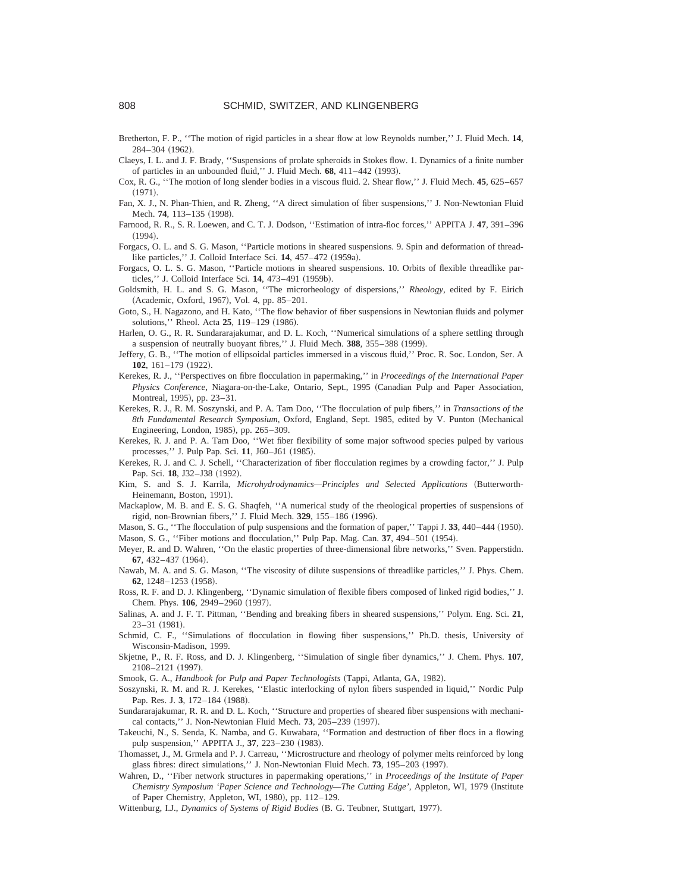- Bretherton, F. P., ''The motion of rigid particles in a shear flow at low Reynolds number,'' J. Fluid Mech. **14**, 284–304 (1962).
- Claeys, I. L. and J. F. Brady, ''Suspensions of prolate spheroids in Stokes flow. 1. Dynamics of a finite number of particles in an unbounded fluid," J. Fluid Mech. 68, 411-442 (1993).
- Cox, R. G., ''The motion of long slender bodies in a viscous fluid. 2. Shear flow,'' J. Fluid Mech. **45**, 625–657  $(1971).$
- Fan, X. J., N. Phan-Thien, and R. Zheng, ''A direct simulation of fiber suspensions,'' J. Non-Newtonian Fluid Mech. 74, 113-135 (1998).
- Farnood, R. R., S. R. Loewen, and C. T. J. Dodson, ''Estimation of intra-floc forces,'' APPITA J. **47**, 391–396  $(1994).$
- Forgacs, O. L. and S. G. Mason, ''Particle motions in sheared suspensions. 9. Spin and deformation of threadlike particles," J. Colloid Interface Sci. 14, 457-472 (1959a).
- Forgacs, O. L. S. G. Mason, ''Particle motions in sheared suspensions. 10. Orbits of flexible threadlike particles," J. Colloid Interface Sci. 14, 473-491 (1959b).
- Goldsmith, H. L. and S. G. Mason, ''The microrheology of dispersions,'' *Rheology*, edited by F. Eirich (Academic, Oxford, 1967), Vol. 4, pp. 85–201.
- Goto, S., H. Nagazono, and H. Kato, ''The flow behavior of fiber suspensions in Newtonian fluids and polymer solutions," Rheol. Acta **25**, 119-129 (1986).
- Harlen, O. G., R. R. Sundararajakumar, and D. L. Koch, ''Numerical simulations of a sphere settling through a suspension of neutrally buoyant fibres," J. Fluid Mech. 388, 355-388 (1999).
- Jeffery, G. B., ''The motion of ellipsoidal particles immersed in a viscous fluid,'' Proc. R. Soc. London, Ser. A **102**, 161-179 (1922).
- Kerekes, R. J., ''Perspectives on fibre flocculation in papermaking,'' in *Proceedings of the International Paper Physics Conference*, Niagara-on-the-Lake, Ontario, Sept., 1995 (Canadian Pulp and Paper Association, Montreal, 1995), pp. 23-31.
- Kerekes, R. J., R. M. Soszynski, and P. A. Tam Doo, ''The flocculation of pulp fibers,'' in *Transactions of the* 8th Fundamental Research Symposium, Oxford, England, Sept. 1985, edited by V. Punton (Mechanical Engineering, London, 1985), pp. 265–309.
- Kerekes, R. J. and P. A. Tam Doo, ''Wet fiber flexibility of some major softwood species pulped by various processes," J. Pulp Pap. Sci. 11, J60-J61 (1985).
- Kerekes, R. J. and C. J. Schell, ''Characterization of fiber flocculation regimes by a crowding factor,'' J. Pulp Pap. Sci. 18, J32-J38 (1992).
- Kim, S. and S. J. Karrila, *Microhydrodynamics—Principles and Selected Applications* (Butterworth-Heinemann, Boston, 1991).
- Mackaplow, M. B. and E. S. G. Shaqfeh, ''A numerical study of the rheological properties of suspensions of rigid, non-Brownian fibers," J. Fluid Mech. 329, 155-186 (1996).

Mason, S. G., "The flocculation of pulp suspensions and the formation of paper," Tappi J. 33, 440–444 (1950). Mason, S. G., "Fiber motions and flocculation," Pulp Pap. Mag. Can. 37, 494–501 (1954).

- Meyer, R. and D. Wahren, ''On the elastic properties of three-dimensional fibre networks,'' Sven. Papperstidn. **67**, 432-437 (1964).
- Nawab, M. A. and S. G. Mason, "The viscosity of dilute suspensions of threadlike particles," J. Phys. Chem. **62.** 1248–1253 (1958).
- Ross, R. F. and D. J. Klingenberg, ''Dynamic simulation of flexible fibers composed of linked rigid bodies,'' J. Chem. Phys. 106, 2949-2960 (1997).
- Salinas, A. and J. F. T. Pittman, ''Bending and breaking fibers in sheared suspensions,'' Polym. Eng. Sci. **21**,  $23 - 31$   $(1981)$ .
- Schmid, C. F., ''Simulations of flocculation in flowing fiber suspensions,'' Ph.D. thesis, University of Wisconsin-Madison, 1999.
- Skjetne, P., R. F. Ross, and D. J. Klingenberg, ''Simulation of single fiber dynamics,'' J. Chem. Phys. **107**, 2108-2121 (1997).
- Smook, G. A., *Handbook for Pulp and Paper Technologists* (Tappi, Atlanta, GA, 1982).
- Soszynski, R. M. and R. J. Kerekes, ''Elastic interlocking of nylon fibers suspended in liquid,'' Nordic Pulp Pap. Res. J. 3, 172-184 (1988).
- Sundararajakumar, R. R. and D. L. Koch, ''Structure and properties of sheared fiber suspensions with mechanical contacts," J. Non-Newtonian Fluid Mech. **73**, 205–239 (1997).
- Takeuchi, N., S. Senda, K. Namba, and G. Kuwabara, ''Formation and destruction of fiber flocs in a flowing pulp suspension," APPITA J., 37, 223-230 (1983).
- Thomasset, J., M. Grmela and P. J. Carreau, ''Microstructure and rheology of polymer melts reinforced by long glass fibres: direct simulations," J. Non-Newtonian Fluid Mech. **73**, 195–203 (1997).
- Wahren, D., ''Fiber network structures in papermaking operations,'' in *Proceedings of the Institute of Paper Chemistry Symposium 'Paper Science and Technology—The Cutting Edge'*, Appleton, WI, 1979 (Institute of Paper Chemistry, Appleton, WI, 1980), pp. 112-129.
- Wittenburg, I.J., *Dynamics of Systems of Rigid Bodies* (B. G. Teubner, Stuttgart, 1977).